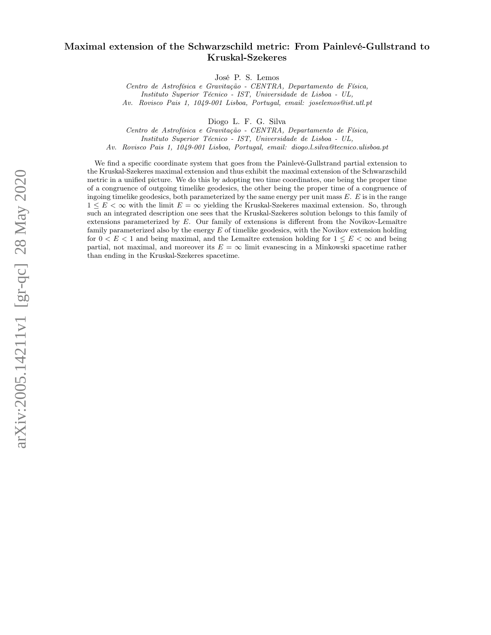# arXiv:2005.14211v1 [gr-qc] 28 May 2020 arXiv:2005.14211v1 [gr-qc] 28 May 2020

# Maximal extension of the Schwarzschild metric: From Painlevé-Gullstrand to Kruskal-Szekeres

José P. S. Lemos

Centro de Astrofísica e Gravitação - CENTRA, Departamento de Física, Instituto Superior Técnico - IST, Universidade de Lisboa - UL, Av. Rovisco Pais 1, 1049-001 Lisboa, Portugal, email: joselemos@ist.utl.pt

Diogo L. F. G. Silva

Centro de Astrofísica e Gravitação - CENTRA, Departamento de Física, Instituto Superior Técnico - IST, Universidade de Lisboa - UL,

Av. Rovisco Pais 1, 1049-001 Lisboa, Portugal, email: diogo.l.silva@tecnico.ulisboa.pt

We find a specific coordinate system that goes from the Painlevé-Gullstrand partial extension to the Kruskal-Szekeres maximal extension and thus exhibit the maximal extension of the Schwarzschild metric in a unified picture. We do this by adopting two time coordinates, one being the proper time of a congruence of outgoing timelike geodesics, the other being the proper time of a congruence of ingoing timelike geodesics, both parameterized by the same energy per unit mass  $E$ .  $E$  is in the range  $1 \leq E \leq \infty$  with the limit  $E = \infty$  yielding the Kruskal-Szekeres maximal extension. So, through such an integrated description one sees that the Kruskal-Szekeres solution belongs to this family of extensions parameterized by E. Our family of extensions is different from the Novikov-Lemaître family parameterized also by the energy  $E$  of timelike geodesics, with the Novikov extension holding for  $0 < E < 1$  and being maximal, and the Lemaître extension holding for  $1 \le E < \infty$  and being partial, not maximal, and moreover its  $E = \infty$  limit evanescing in a Minkowski spacetime rather than ending in the Kruskal-Szekeres spacetime.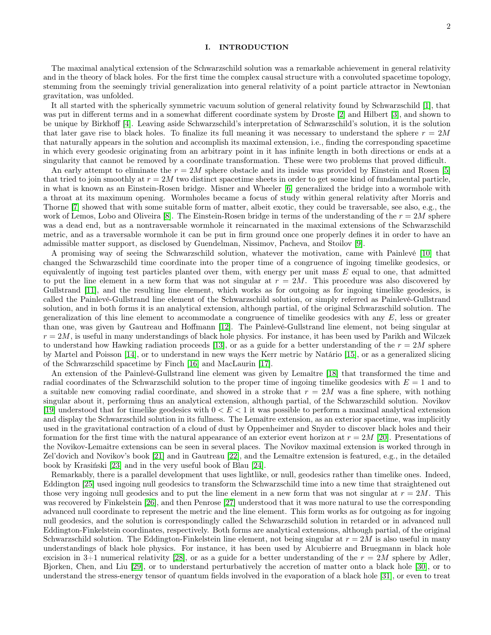### I. INTRODUCTION

The maximal analytical extension of the Schwarzschild solution was a remarkable achievement in general relativity and in the theory of black holes. For the first time the complex causal structure with a convoluted spacetime topology, stemming from the seemingly trivial generalization into general relativity of a point particle attractor in Newtonian gravitation, was unfolded.

It all started with the spherically symmetric vacuum solution of general relativity found by Schwarzschild [\[1\]](#page-16-0), that was put in different terms and in a somewhat different coordinate system by Droste [\[2\]](#page-16-1) and Hilbert [\[3\]](#page-16-2), and shown to be unique by Birkhoff [\[4\]](#page-16-3). Leaving aside Schwarzschild's interpretation of Schwarzschild's solution, it is the solution that later gave rise to black holes. To finalize its full meaning it was necessary to understand the sphere  $r = 2M$ that naturally appears in the solution and accomplish its maximal extension, i.e., finding the corresponding spacetime in which every geodesic originating from an arbitrary point in it has infinite length in both directions or ends at a singularity that cannot be removed by a coordinate transformation. These were two problems that proved difficult.

An early attempt to eliminate the  $r = 2M$  sphere obstacle and its inside was provided by Einstein and Rosen [\[5\]](#page-16-4) that tried to join smoothly at  $r = 2M$  two distinct spacetime sheets in order to get some kind of fundamental particle, in what is known as an Einstein-Rosen bridge. Misner and Wheeler [\[6\]](#page-16-5) generalized the bridge into a wormhole with a throat at its maximum opening. Wormholes became a focus of study within general relativity after Morris and Thorne [\[7\]](#page-16-6) showed that with some suitable form of matter, albeit exotic, they could be traversable, see also, e.g., the work of Lemos, Lobo and Oliveira [\[8\]](#page-16-7). The Einstein-Rosen bridge in terms of the understanding of the  $r = 2M$  sphere was a dead end, but as a nontraversable wormhole it reincarnated in the maximal extensions of the Schwarzschild metric, and as a traversable wormhole it can be put in firm ground once one properly defines it in order to have an admissible matter support, as disclosed by Guendelman, Nissimov, Pacheva, and Stoilov [\[9\]](#page-17-0).

A promising way of seeing the Schwarzschild solution, whatever the motivation, came with Painlevé [\[10\]](#page-17-1) that changed the Schwarzschild time coordinate into the proper time of a congruence of ingoing timelike geodesics, or equivalently of ingoing test particles planted over them, with energy per unit mass  $E$  equal to one, that admitted to put the line element in a new form that was not singular at  $r = 2M$ . This procedure was also discovered by Gullstrand [\[11\]](#page-17-2), and the resulting line element, which works as for outgoing as for ingoing timelike geodesics, is called the Painlevé-Gullstrand line element of the Schwarzschild solution, or simply referred as Painlevé-Gullstrand solution, and in both forms it is an analytical extension, although partial, of the original Schwarzschild solution. The generalization of this line element to accommodate a congruence of timelike geodesics with any  $E$ , less or greater than one, was given by Gautreau and Hoffmann [\[12\]](#page-17-3). The Painlevé-Gullstrand line element, not being singular at  $r = 2M$ , is useful in many understandings of black hole physics. For instance, it has been used by Parikh and Wilczek to understand how Hawking radiation proceeds [\[13\]](#page-17-4), or as a guide for a better understanding of the  $r = 2M$  sphere by Martel and Poisson [\[14\]](#page-17-5), or to understand in new ways the Kerr metric by Natário [\[15\]](#page-17-6), or as a generalized slicing of the Schwarzschild spacetime by Finch [\[16\]](#page-17-7) and MacLaurin [\[17\]](#page-17-8).

An extension of the Painlevé-Gullstrand line element was given by Lemaître [\[18\]](#page-17-9) that transformed the time and radial coordinates of the Schwarzschild solution to the proper time of ingoing timelike geodesics with  $E = 1$  and to a suitable new comoving radial coordinate, and showed in a stroke that  $r = 2M$  was a fine sphere, with nothing singular about it, performing thus an analytical extension, although partial, of the Schwarzschild solution. Novikov [\[19\]](#page-17-10) understood that for timelike geodesics with  $0 < E < 1$  it was possible to perform a maximal analytical extension and display the Schwarzschild solution in its fullness. The Lemaître extension, as an exterior spacetime, was implicitly used in the gravitational contraction of a cloud of dust by Oppenheimer and Snyder to discover black holes and their formation for the first time with the natural appearance of an exterior event horizon at  $r = 2M$  [\[20\]](#page-17-11). Presentations of the Novikov-Lemaitre extensions can be seen in several places. The Novikov maximal extension is worked through in Zel'dovich and Novikov's book [\[21\]](#page-17-12) and in Gautreau [\[22\]](#page-17-13), and the Lemaître extension is featured, e.g., in the detailed book by Krasiński [\[23\]](#page-17-14) and in the very useful book of Blau [\[24\]](#page-17-15).

Remarkably, there is a parallel development that uses lightlike, or null, geodesics rather than timelike ones. Indeed, Eddington [\[25\]](#page-17-16) used ingoing null geodesics to transform the Schwarzschild time into a new time that straightened out those very ingoing null geodesics and to put the line element in a new form that was not singular at  $r = 2M$ . This was recovered by Finkelstein [\[26\]](#page-17-17), and then Penrose [\[27\]](#page-17-18) understood that it was more natural to use the corresponding advanced null coordinate to represent the metric and the line element. This form works as for outgoing as for ingoing null geodesics, and the solution is correspondingly called the Schwarzschild solution in retarded or in advanced null Eddington-Finkelstein coordinates, respectively. Both forms are analytical extensions, although partial, of the original Schwarzschild solution. The Eddington-Finkelstein line element, not being singular at  $r = 2M$  is also useful in many understandings of black hole physics. For instance, it has been used by Alcubierre and Bruegmann in black hole excision in 3+1 numerical relativity [\[28\]](#page-17-19), or as a guide for a better understanding of the  $r = 2M$  sphere by Adler, Bjorken, Chen, and Liu [\[29\]](#page-17-20), or to understand perturbatively the accretion of matter onto a black hole [\[30\]](#page-17-21), or to understand the stress-energy tensor of quantum fields involved in the evaporation of a black hole [\[31\]](#page-17-22), or even to treat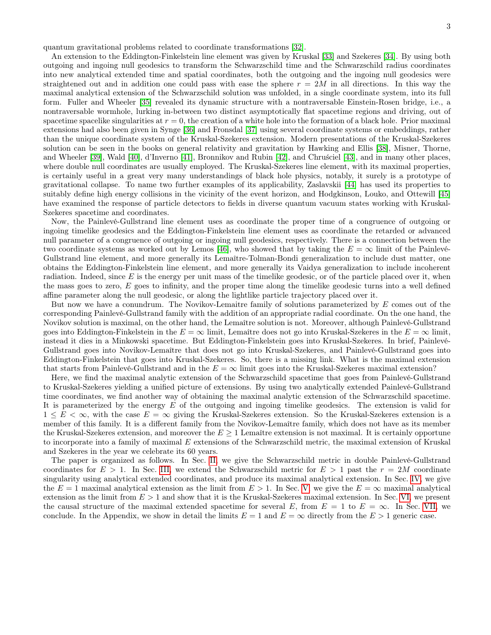quantum gravitational problems related to coordinate transformations [\[32\]](#page-17-23).

An extension to the Eddington-Finkelstein line element was given by Kruskal [\[33\]](#page-17-24) and Szekeres [\[34\]](#page-17-25). By using both outgoing and ingoing null geodesics to transform the Schwarzschild time and the Schwarzschild radius coordinates into new analytical extended time and spatial coordinates, both the outgoing and the ingoing null geodesics were straightened out and in addition one could pass with ease the sphere  $r = 2M$  in all directions. In this way the maximal analytical extension of the Schwarzschild solution was unfolded, in a single coordinate system, into its full form. Fuller and Wheeler [\[35\]](#page-17-26) revealed its dynamic structure with a nontraversable Einstein-Rosen bridge, i.e., a nontraversable wormhole, lurking in-between two distinct asymptotically flat spacetime regions and driving, out of spacetime spacelike singularities at  $r = 0$ , the creation of a white hole into the formation of a black hole. Prior maximal extensions had also been given in Synge [\[36\]](#page-17-27) and Fronsdal [\[37\]](#page-17-28) using several coordinate systems or embeddings, rather than the unique coordinate system of the Kruskal-Szekeres extension. Modern presentations of the Kruskal-Szekeres solution can be seen in the books on general relativity and gravitation by Hawking and Ellis [\[38\]](#page-17-29), Misner, Thorne, and Wheeler [\[39\]](#page-17-30), Wald [\[40\]](#page-17-31), d'Inverno [\[41\]](#page-17-32), Bronnikov and Rubin [\[42\]](#page-17-33), and Chruściel [\[43\]](#page-17-34), and in many other places, where double null coordinates are usually employed. The Kruskal-Szekeres line element, with its maximal properties, is certainly useful in a great very many understandings of black hole physics, notably, it surely is a prototype of gravitational collapse. To name two further examples of its applicability, Zaslavskii [\[44\]](#page-17-35) has used its properties to suitably define high energy collisions in the vicinity of the event horizon, and Hodgkinson, Louko, and Ottewill [\[45\]](#page-17-36) have examined the response of particle detectors to fields in diverse quantum vacuum states working with Kruskal-Szekeres spacetime and coordinates.

Now, the Painlevé-Gullstrand line element uses as coordinate the proper time of a congruence of outgoing or ingoing timelike geodesics and the Eddington-Finkelstein line element uses as coordinate the retarded or advanced null parameter of a congruence of outgoing or ingoing null geodesics, respectively. There is a connection between the two coordinate systems as worked out by Lemos [\[46\]](#page-17-37), who showed that by taking the  $E = \infty$  limit of the Painlevé-Gullstrand line element, and more generally its Lemaître-Tolman-Bondi generalization to include dust matter, one obtains the Eddington-Finkelstein line element, and more generally its Vaidya generalization to include incoherent radiation. Indeed, since  $E$  is the energy per unit mass of the timelike geodesic, or of the particle placed over it, when the mass goes to zero,  $E$  goes to infinity, and the proper time along the timelike geodesic turns into a well defined affine parameter along the null geodesic, or along the lightlike particle trajectory placed over it.

But now we have a conundrum. The Novikov-Lemaitre family of solutions parameterized by E comes out of the corresponding Painlevé-Gullstrand family with the addition of an appropriate radial coordinate. On the one hand, the Novikov solution is maximal, on the other hand, the Lemaître solution is not. Moreover, although Painlevé-Gullstrand goes into Eddington-Finkelstein in the  $E = \infty$  limit, Lemaître does not go into Kruskal-Szekeres in the  $E = \infty$  limit, instead it dies in a Minkowski spacetime. But Eddington-Finkelstein goes into Kruskal-Szekeres. In brief, Painlevé-Gullstrand goes into Novikov-Lemaître that does not go into Kruskal-Szekeres, and Painlevé-Gullstrand goes into Eddington-Finkelstein that goes into Kruskal-Szekeres. So, there is a missing link. What is the maximal extension that starts from Painlevé-Gullstrand and in the  $E = \infty$  limit goes into the Kruskal-Szekeres maximal extension?

Here, we find the maximal analytic extension of the Schwarzschild spacetime that goes from Painlevé-Gullstrand to Kruskal-Szekeres yielding a unified picture of extensions. By using two analytically extended Painlevé-Gullstrand time coordinates, we find another way of obtaining the maximal analytic extension of the Schwarzschild spacetime. It is parameterized by the energy  $E$  of the outgoing and ingoing timelike geodesics. The extension is valid for  $1 \leq E \leq \infty$ , with the case  $E = \infty$  giving the Kruskal-Szekeres extension. So the Kruskal-Szekeres extension is a member of this family. It is a different family from the Novikov-Lemaître family, which does not have as its member the Kruskal-Szekeres extension, and moreover the  $E \geq 1$  Lemaître extension is not maximal. It is certainly opportune to incorporate into a family of maximal E extensions of the Schwarzschild metric, the maximal extension of Kruskal and Szekeres in the year we celebrate its 60 years.

The paper is organized as follows. In Sec. [II,](#page-3-0) we give the Schwarzschild metric in double Painlevé-Gullstrand coordinates for  $E > 1$ . In Sec. [III,](#page-4-0) we extend the Schwarzschild metric for  $E > 1$  past the  $r = 2M$  coordinate singularity using analytical extended coordinates, and produce its maximal analytical extension. In Sec. [IV,](#page-8-0) we give the  $E = 1$  maximal analytical extension as the limit from  $E > 1$ . In Sec. [V,](#page-10-0) we give the  $E = \infty$  maximal analytical extension as the limit from  $E > 1$  and show that it is the Kruskal-Szekeres maximal extension. In Sec. [VI,](#page-12-0) we present the causal structure of the maximal extended spacetime for several E, from  $E = 1$  to  $E = \infty$ . In Sec. [VII,](#page-15-0) we conclude. In the Appendix, we show in detail the limits  $E = 1$  and  $E = \infty$  directly from the  $E > 1$  generic case.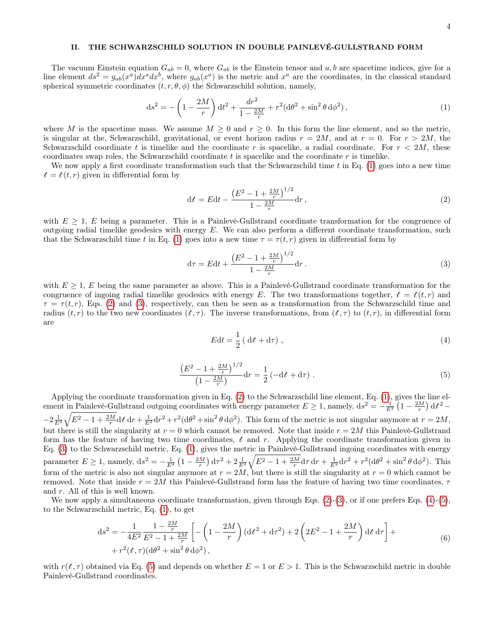# <span id="page-3-0"></span>II. THE SCHWARZSCHILD SOLUTION IN DOUBLE PAINLEVÉ-GULLSTRAND FORM

The vacuum Einstein equation  $G_{ab} = 0$ , where  $G_{ab}$  is the Einstein tensor and a, b are spacetime indices, give for a line element  $ds^2 = g_{ab}(x^a)dx^a dx^b$ , where  $g_{ab}(x^a)$  is the metric and  $x^a$  are the coordinates, in the classical standard spherical symmetric coordinates  $(t, r, \theta, \phi)$  the Schwarzschild solution, namely,

<span id="page-3-1"></span>
$$
ds^{2} = -\left(1 - \frac{2M}{r}\right)dt^{2} + \frac{dr^{2}}{1 - \frac{2M}{r}} + r^{2}(d\theta^{2} + \sin^{2}\theta \, d\phi^{2}),\tag{1}
$$

where M is the spacetime mass. We assume  $M \geq 0$  and  $r \geq 0$ . In this form the line element, and so the metric, is singular at the, Schwarzschild, gravitational, or event horizon radius  $r = 2M$ , and at  $r = 0$ . For  $r > 2M$ , the Schwarzschild coordinate t is timelike and the coordinate r is spacelike, a radial coordinate. For  $r < 2M$ , these coordinates swap roles, the Schwarzschild coordinate t is spacelike and the coordinate r is timelike.

We now apply a first coordinate transformation such that the Schwarzschild time  $t$  in Eq. [\(1\)](#page-3-1) goes into a new time  $t = t(t, r)$  given in differential form by

<span id="page-3-2"></span>
$$
dt = Edt - \frac{\left(E^2 - 1 + \frac{2M}{r}\right)^{1/2}}{1 - \frac{2M}{r}} dr,
$$
\n(2)

with  $E \geq 1$ , E being a parameter. This is a Painlevé-Gullstrand coordinate transformation for the congruence of outgoing radial timelike geodesics with energy  $E$ . We can also perform a different coordinate transformation, such that the Schwarzschild time t in Eq. [\(1\)](#page-3-1) goes into a new time  $\tau = \tau(t, r)$  given in differential form by

<span id="page-3-3"></span>
$$
d\tau = E dt + \frac{\left(E^2 - 1 + \frac{2M}{r}\right)^{1/2}}{1 - \frac{2M}{r}} dr.
$$
\n(3)

with  $E \geq 1$ , E being the same parameter as above. This is a Painlevé-Gullstrand coordinate transformation for the congruence of ingoing radial timelike geodesics with energy E. The two transformations together,  $t = t(t, r)$  and  $\tau = \tau(t,r)$ , Eqs. [\(2\)](#page-3-2) and [\(3\)](#page-3-3), respectively, can then be seen as a transformation from the Schwarzschild time and radius  $(t, r)$  to the two new coordinates  $(t, \tau)$ . The inverse transformations, from  $(t, \tau)$  to  $(t, r)$ , in differential form are

<span id="page-3-4"></span>
$$
Edt = \frac{1}{2} \left( \mathrm{d}t + \mathrm{d}\tau \right),\tag{4}
$$

<span id="page-3-5"></span>
$$
\frac{\left(E^2 - 1 + \frac{2M}{r}\right)^{1/2}}{\left(1 - \frac{2M}{r}\right)} dr = \frac{1}{2} \left(-\mathrm{d}t + \mathrm{d}\tau\right). \tag{5}
$$

Applying the coordinate transformation given in Eq. [\(2\)](#page-3-2) to the Schwarzschild line element, Eq. [\(1\)](#page-3-1), gives the line element in Painlevé-Gullstrand outgoing coordinates with energy parameter  $E \ge 1$ , namely,  $ds^2 = -\frac{1}{E^2} \left(1 - \frac{2M}{r}\right) dt^2$  $-2\frac{1}{E^2}\sqrt{E^2-1+\frac{2M}{r}}dt\,dr+\frac{1}{E^2}dr^2+r^2(d\theta^2+\sin^2\theta\,d\phi^2)$ . This form of the metric is not singular anymore at  $r=2M$ , but there is still the singularity at  $r = 0$  which cannot be removed. Note that inside  $r = 2M$  this Painlevé-Gullstrand form has the feature of having two time coordinates,  $t$  and r. Applying the coordinate transformation given in Eq. [\(3\)](#page-3-3) to the Schwarzschild metric, Eq. [\(1\)](#page-3-1), gives the metric in Painlevé-Gullstrand ingoing coordinates with energy parameter  $E \ge 1$ , namely,  $ds^2 = -\frac{1}{E^2} \left(1 - \frac{2M}{r}\right) d\tau^2 + 2\frac{1}{E^2} \sqrt{E^2 - 1 + \frac{2M}{r}} d\tau dr + \frac{1}{E^2} dr^2 + r^2 (d\theta^2 + \sin^2 \theta d\phi^2)$ . This form of the metric is also not singular anymore at  $r = 2M$ , but there is still the singularity at  $r = 0$  which cannot be removed. Note that inside  $r = 2M$  this Painlevé-Gullstrand form has the feature of having two time coordinates,  $\tau$ and r. All of this is well known.

We now apply a simultaneous coordinate transformation, given through Eqs.  $(2)-(3)$  $(2)-(3)$  $(2)-(3)$ , or if one prefers Eqs.  $(4)-(5)$  $(4)-(5)$  $(4)-(5)$ , to the Schwarzschild metric, Eq. [\(1\)](#page-3-1), to get

$$
ds^{2} = -\frac{1}{4E^{2}} \frac{1 - \frac{2M}{r}}{E^{2} - 1 + \frac{2M}{r}} \left[ -\left(1 - \frac{2M}{r}\right) (dt^{2} + d\tau^{2}) + 2\left(2E^{2} - 1 + \frac{2M}{r}\right) dt d\tau \right] +
$$
  
+  $r^{2}(t, \tau) (d\theta^{2} + \sin^{2}\theta d\phi^{2}),$  (6)

<span id="page-3-6"></span>with  $r(t, \tau)$  obtained via Eq. [\(5\)](#page-3-5) and depends on whether  $E = 1$  or  $E > 1$ . This is the Schwarzschild metric in double Painlevé-Gullstrand coordinates.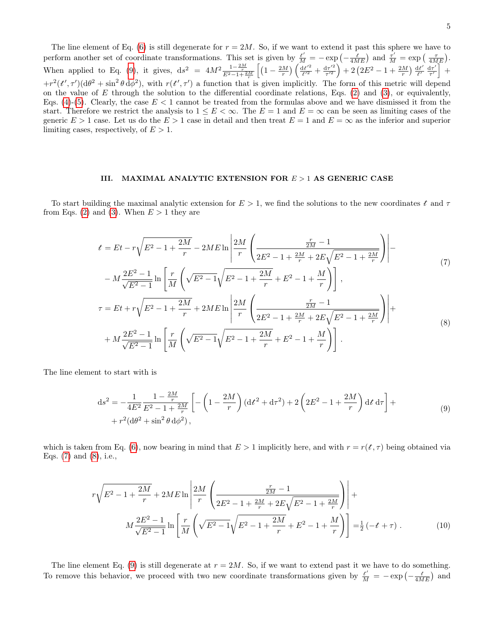The line element of Eq. [\(6\)](#page-3-6) is still degenerate for  $r = 2M$ . So, if we want to extend it past this sphere we have to perform another set of coordinate transformations. This set is given by  $\frac{t'}{M} = -\exp\left(-\frac{t}{4ME}\right)$  and  $\frac{\tau'}{M} = \exp\left(-\frac{\tau}{4ME}\right)$ . When applied to Eq. [\(9\)](#page-4-1), it gives,  $ds^2 = 4M^2 \frac{1-\frac{2M}{r}}{E^2-1+\frac{2M}{r}} \left[ (1-\frac{2M}{r}) \left( \frac{dt'^2}{t'^2} \right) \right]$  $\frac{dt'^2}{t'^2} + \frac{d\tau'^2}{\tau'^2}$  $\frac{d\tau'^2}{\tau'^2}$  + 2  $\left(2E^2-1+\frac{2M}{r}\right)\frac{dt'}{t'}$  $\frac{\mathrm{d}t'}{t'}\frac{\mathrm{d}\tau'}{\tau'}$  $\frac{d\tau'}{d\tau'}$  +  $+r^{2}(t',\tau')$  (d $\theta^{2}$  + sin<sup>2</sup>  $\theta$  d $\phi^{2}$ ), with  $r(t',\tau')$  a function that is given implicitly. The form of this metric will depend on the value of  $E$  through the solution to the differential coordinate relations, Eqs. [\(2\)](#page-3-2) and [\(3\)](#page-3-3), or equivalently, Eqs. [\(4\)](#page-3-4)-[\(5\)](#page-3-5). Clearly, the case  $E < 1$  cannot be treated from the formulas above and we have dismissed it from the start. Therefore we restrict the analysis to  $1 \leq E < \infty$ . The  $E = 1$  and  $E = \infty$  can be seen as limiting cases of the generic  $E > 1$  case. Let us do the  $E > 1$  case in detail and then treat  $E = 1$  and  $E = \infty$  as the inferior and superior limiting cases, respectively, of  $E > 1$ .

### <span id="page-4-0"></span>III. MAXIMAL ANALYTIC EXTENSION FOR  $E > 1$  AS GENERIC CASE

To start building the maximal analytic extension for  $E > 1$ , we find the solutions to the new coordinates t and  $\tau$ from Eqs. [\(2\)](#page-3-2) and [\(3\)](#page-3-3). When  $E > 1$  they are

$$
t = Et - r\sqrt{E^2 - 1 + \frac{2M}{r}} - 2ME \ln \left| \frac{2M}{r} \left( \frac{\frac{r}{2E^2} - 1}{2E^2 - 1 + \frac{2M}{r} + 2E\sqrt{E^2 - 1 + \frac{2M}{r}}} \right) \right| - N\frac{2E^2 - 1}{\sqrt{E^2 - 1}} \ln \left[ \frac{r}{M} \left( \sqrt{E^2 - 1} \sqrt{E^2 - 1 + \frac{2M}{r}} + E^2 - 1 + \frac{M}{r} \right) \right],
$$
\n(7)

<span id="page-4-3"></span><span id="page-4-2"></span>
$$
\sqrt{E^2 - 1} \left[ M \sqrt{r} + \frac{r}{r} \right]
$$
  
\n
$$
\tau = Et + r\sqrt{E^2 - 1 + \frac{2M}{r}} + 2ME \ln \left| \frac{2M}{r} \left( \frac{\frac{r}{2M} - 1}{2E^2 - 1 + \frac{2M}{r} + 2E\sqrt{E^2 - 1 + \frac{2M}{r}}} \right) \right| + M\frac{2E^2 - 1}{\sqrt{E^2 - 1}} \ln \left[ \frac{r}{M} \left( \sqrt{E^2 - 1} \sqrt{E^2 - 1 + \frac{2M}{r}} + E^2 - 1 + \frac{M}{r} \right) \right].
$$
 (8)

<span id="page-4-1"></span>The line element to start with is

$$
ds^{2} = -\frac{1}{4E^{2}} \frac{1 - \frac{2M}{r}}{E^{2} - 1 + \frac{2M}{r}} \left[ -\left(1 - \frac{2M}{r}\right) (dt^{2} + d\tau^{2}) + 2\left(2E^{2} - 1 + \frac{2M}{r}\right) dt d\tau \right] +
$$
  
+  $r^{2} (d\theta^{2} + \sin^{2} \theta d\phi^{2}),$  (9)

which is taken from Eq. [\(6\)](#page-3-6), now bearing in mind that  $E > 1$  implicitly here, and with  $r = r(t, \tau)$  being obtained via Eqs. [\(7\)](#page-4-2) and [\(8\)](#page-4-3), i.e.,

<span id="page-4-4"></span>
$$
r\sqrt{E^2 - 1 + \frac{2M}{r}} + 2ME \ln \left| \frac{2M}{r} \left( \frac{\frac{r}{2M} - 1}{2E^2 - 1 + \frac{2M}{r} + 2E\sqrt{E^2 - 1 + \frac{2M}{r}}} \right) \right| + M\frac{2E^2 - 1}{\sqrt{E^2 - 1}} \ln \left[ \frac{r}{M} \left( \sqrt{E^2 - 1} \sqrt{E^2 - 1 + \frac{2M}{r}} + E^2 - 1 + \frac{M}{r} \right) \right] = \frac{1}{2} \left( -t + \tau \right). \tag{10}
$$

The line element Eq. [\(9\)](#page-4-1) is still degenerate at  $r = 2M$ . So, if we want to extend past it we have to do something. To remove this behavior, we proceed with two new coordinate transformations given by  $\frac{t'}{M} = -\exp(-\frac{t}{4ME})$  and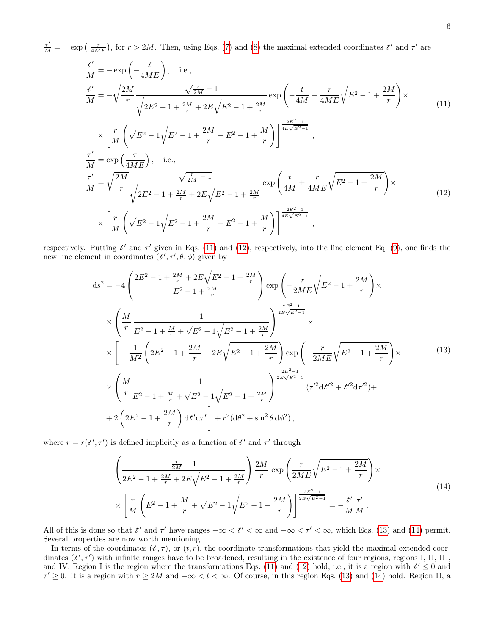$\frac{\tau'}{M}$  = exp  $\left(\frac{\tau}{4ME}\right)$ , for  $r > 2M$ . Then, using Eqs. [\(7\)](#page-4-2) and [\(8\)](#page-4-3) the maximal extended coordinates  $t'$  and  $\tau'$  are

<span id="page-5-0"></span>
$$
\frac{t'}{M} = -\exp\left(-\frac{t}{4ME}\right), \text{ i.e.,}
$$
\n
$$
\frac{t'}{M} = -\sqrt{\frac{2M}{r}} \frac{\sqrt{\frac{r}{2M} - 1}}{\sqrt{2E^2 - 1 + \frac{2M}{r} + 2E\sqrt{E^2 - 1 + \frac{2M}{r}}}} \exp\left(-\frac{t}{4M} + \frac{r}{4ME}\sqrt{E^2 - 1 + \frac{2M}{r}}\right) \times
$$
\n
$$
\times \left[ \frac{r}{M} \left(\sqrt{E^2 - 1}\sqrt{E^2 - 1 + \frac{2M}{r}} + E^2 - 1 + \frac{M}{r}\right) \right]^{\frac{2E^2 - 1}{4E\sqrt{E^2 - 1}}},
$$
\n
$$
\frac{\tau'}{M} = \exp\left(\frac{\tau}{4ME}\right), \text{ i.e.,}
$$
\n
$$
\frac{\tau'}{M} = \sqrt{\frac{2M}{r}} \frac{\sqrt{\frac{r}{2M} - 1}}{\sqrt{2E^2 - 1 + \frac{2M}{r} + 2E\sqrt{E^2 - 1 + \frac{2M}{r}}}} \exp\left(\frac{t}{4M} + \frac{r}{4ME}\sqrt{E^2 - 1 + \frac{2M}{r}}\right) \times
$$
\n
$$
\times \left[ \frac{r}{M} \left(\sqrt{E^2 - 1}\sqrt{E^2 - 1 + \frac{2M}{r}} + E^2 - 1 + \frac{M}{r}\right) \right]^{\frac{2E^2 - 1}{4E\sqrt{E^2 - 1}}},
$$
\n(12)

respectively. Putting  $t'$  and  $\tau'$  given in Eqs. [\(11\)](#page-5-0) and [\(12\)](#page-5-1), respectively, into the line element Eq. [\(9\)](#page-4-1), one finds the new line element in coordinates  $(t', \tau', \theta, \phi)$  given by

<span id="page-5-2"></span><span id="page-5-1"></span>
$$
ds^{2} = -4\left(\frac{2E^{2} - 1 + \frac{2M}{r} + 2E\sqrt{E^{2} - 1 + \frac{2M}{r}}}{E^{2} - 1 + \frac{2M}{r}}\right) \exp\left(-\frac{r}{2ME}\sqrt{E^{2} - 1 + \frac{2M}{r}}\right) \times
$$
  

$$
\times \left(\frac{M}{r}\frac{1}{E^{2} - 1 + \frac{M}{r} + \sqrt{E^{2} - 1}\sqrt{E^{2} - 1 + \frac{2M}{r}}}\right) \times
$$
  

$$
\times \left[-\frac{1}{M^{2}}\left(2E^{2} - 1 + \frac{2M}{r} + 2E\sqrt{E^{2} - 1 + \frac{2M}{r}}\right) \exp\left(-\frac{r}{2ME}\sqrt{E^{2} - 1 + \frac{2M}{r}}\right) \times
$$
  

$$
\times \left(\frac{M}{r}\frac{1}{E^{2} - 1 + \frac{M}{r} + \sqrt{E^{2} - 1}\sqrt{E^{2} - 1 + \frac{2M}{r}}}\right) \exp\left(-\frac{r}{2ME}\sqrt{E^{2} - 1 + \frac{2M}{r}}\right) \times
$$
  

$$
+2\left(2E^{2} - 1 + \frac{M}{r} + \sqrt{E^{2} - 1}\sqrt{E^{2} - 1 + \frac{2M}{r}}}\right) \frac{e^{2E^{2} - 1}}{(r'^{2}dt'^{2} + t'^{2}dr'^{2}) +
$$
  

$$
+2\left(2E^{2} - 1 + \frac{2M}{r}\right)dt'dr'\right] + r^{2}(d\theta^{2} + \sin^{2}\theta d\phi^{2}),
$$
 (13)

<span id="page-5-3"></span>where  $r = r(t', \tau')$  is defined implicitly as a function of  $t'$  and  $\tau'$  through

$$
\left(\frac{\frac{r}{2M}-1}{2E^2-1+\frac{2M}{r}+2E\sqrt{E^2-1+\frac{2M}{r}}}\right)\frac{2M}{r}\exp\left(\frac{r}{2ME}\sqrt{E^2-1+\frac{2M}{r}}\right)\times
$$
\n
$$
\times\left[\frac{r}{M}\left(E^2-1+\frac{M}{r}+\sqrt{E^2-1}\sqrt{E^2-1+\frac{2M}{r}}\right)\right]^{\frac{2E^2-1}{2E\sqrt{E^2-1}}}=-\frac{t'}{M}\frac{\tau'}{M}.
$$
\n(14)

All of this is done so that t' and  $\tau'$  have ranges  $-\infty < t' < \infty$  and  $-\infty < \tau' < \infty$ , which Eqs. [\(13\)](#page-5-2) and [\(14\)](#page-5-3) permit. Several properties are now worth mentioning.

In terms of the coordinates  $(t, \tau)$ , or  $(t, r)$ , the coordinate transformations that yield the maximal extended coordinates  $(t', \tau')$  with infinite ranges have to be broadened, resulting in the existence of four regions, regions I, II, III, and IV. Region I is the region where the transformations Eqs. [\(11\)](#page-5-0) and [\(12\)](#page-5-1) hold, i.e., it is a region with  $t' \leq 0$  and  $\tau' \geq 0$ . It is a region with  $r \geq 2M$  and  $-\infty < t < \infty$ . Of course, in this region Eqs. [\(13\)](#page-5-2) and [\(14\)](#page-5-3) hold. Region II, a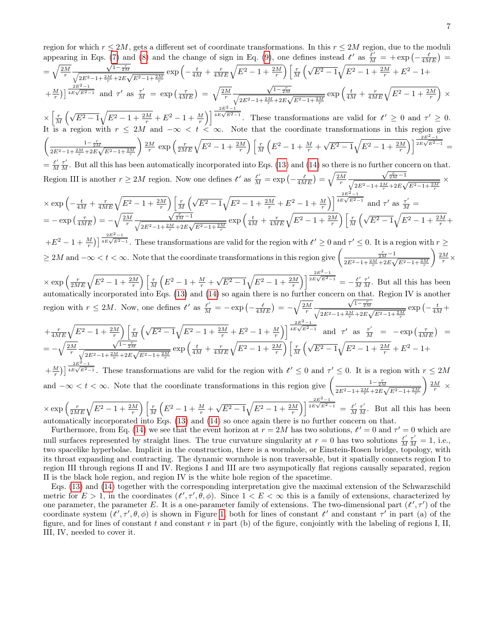region for which 
$$
r \leq 2M
$$
, gets a different set of coordinate transformations. In this  $r \leq 2M$  region, due to the moduli  
appearing in Eqs. (7) and (8) and the change of sign in Eq. (9), one defines instead  $\ell'$  as  $\frac{r}{M} = + \exp\left(-\frac{2M}{4MR}\right) = \sqrt{\frac{2M}{r}\sqrt{\frac{2F^2-1}{\sqrt{4E^2-1}+\frac{2K}{r^2}}}\exp\left(-\frac{1}{4M} + \frac{F}{4MR}\sqrt{E^2-1} + \frac{2\Delta T}{r^2}\right)\left[\frac{r}{M}\left(\sqrt{E^2-1}\sqrt{E^2-1} + \frac{2M}{r} + E^2 - 1 + \frac{2M}{r}\right)\right] \frac{r}{4E\sqrt{E^2-1}} \exp\left(\frac{1}{4M} + \frac{1}{4M}\sqrt{E^2-1} + \frac{2M}{r} + E^2 - 1 + \frac{2M}{r}\right)$   
 $\times \left[\frac{r}{M}\left(\sqrt{E^2-1}\sqrt{E^2-1} + \frac{2M}{r} + E^2 - 1 + \frac{M}{r}\right)\right] \frac{zE^2-1}{r^2\sqrt{2E^2-1}+\frac{2K}{r^2}}\exp\left(\frac{1}{4M} + \frac{1}{4M}\sqrt{E}\sqrt{E^2-1} + \frac{2M}{r} + E^2 - 1 + \frac{2M}{r}\right)$   
 $\times \left[\frac{r}{M}\left(\sqrt{E^2-1}\sqrt{E^2-1} + \frac{2M}{r} + E^2 - 1 + \frac{M}{r}\right)\right] \frac{zE^2-1}{r^2\sqrt{2E^2-1}+\frac{2K}{r^2}}\exp\left(\frac{1}{4M} + \frac{1}{4M}\sqrt{E}\sqrt{E^2-1} + \frac{2M}{r}\right)$   
 $\times \left[\frac{1}{4K}\left(\sqrt{E^2-1}\sqrt{E^2-1} + \frac{2M}{r} + E^2 - 1 + \frac{M}{r}\right)\right] \frac{zE^2-1}{r^2\sqrt{2E^2-1}+\frac{2M}{r}}\exp\left(\frac{1}{4M} + \frac{1}{\sqrt{E^2-1}}\sqrt{E^2-1} + \frac{2M}{r}\right)$   
 $\times \$ 

 $\times \exp\left(\frac{r}{2ME}\sqrt{E^2-1+\frac{2M}{r}}\right)\left[\frac{r}{M}\left(E^2-1+\frac{M}{r}+\right)\right]$  $\sqrt{E^2-1}$  =  $\frac{t'}{M} \frac{\tau'}{M}$ . But all this has been automatically incorporated into Eqs. [\(13\)](#page-5-2) and [\(14\)](#page-5-3) so once again there is no further concern on that.

Furthermore, from Eq. [\(14\)](#page-5-3) we see that the event horizon at  $r = 2M$  has two solutions,  $t' = 0$  and  $\tau' = 0$  which are null surfaces represented by straight lines. The true curvature singularity at  $r = 0$  has two solutions  $\frac{t'}{M}$  $\frac{t'}{M}\frac{\tau'}{M} = 1$ , i.e., two spacelike hyperbolae. Implicit in the construction, there is a wormhole, or Einstein-Rosen bridge, topology, with its throat expanding and contracting. The dynamic wormhole is non traversable, but it spatially connects region I to region III through regions II and IV. Regions I and III are two asympotically flat regions causally separated, region II is the black hole region, and region IV is the white hole region of the spacetime.

Eqs. [\(13\)](#page-5-2) and [\(14\)](#page-5-3) together with the corresponding interpretation give the maximal extension of the Schwarzschild metric for  $E > 1$ , in the coordinates  $(t', \tau', \theta, \phi)$ . Since  $1 < E < \infty$  this is a family of extensions, characterized by one parameter, the parameter E. It is a one-parameter family of extensions. The two-dimensional part  $(t', \tau')$  of the coordinate system  $(t', \tau', \theta, \phi)$  is shown in Figure [1,](#page-7-0) both for lines of constant  $t'$  and constant  $\tau'$  in part (a) of the figure, and for lines of constant  $t$  and constant  $r$  in part (b) of the figure, conjointly with the labeling of regions I, II, III, IV, needed to cover it.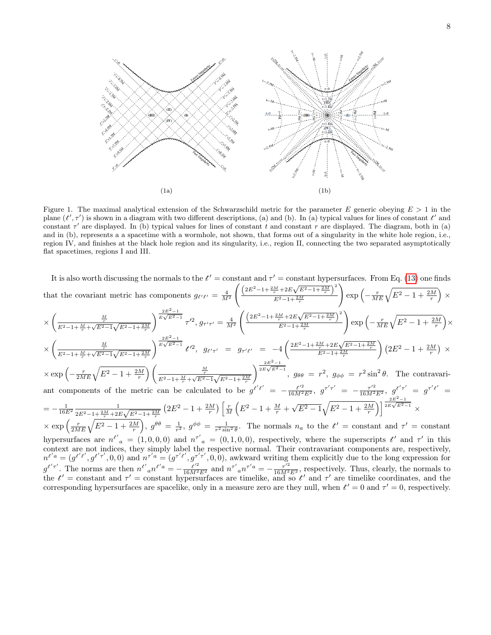

<span id="page-7-0"></span>Figure 1. The maximal analytical extension of the Schwarzschild metric for the parameter E generic obeying  $E > 1$  in the plane  $(t', \tau')$  is shown in a diagram with two different descriptions, (a) and (b). In (a) typical values for lines of constant  $t'$  and constant  $\tau'$  are displayed. In (b) typical values for lines of constant t and constant r are displayed. The diagram, both in (a) and in (b), represents a a spacetime with a wormhole, not shown, that forms out of a singularity in the white hole region, i.e., region IV, and finishes at the black hole region and its singularity, i.e., region II, connecting the two separated asymptotically flat spacetimes, regions I and III.

It is also worth discussing the normals to the 
$$
t' =
$$
 constant and  $\tau' =$  constant hypersurfaces. From Eq. (13) one finds that the covariant metric has components  $g_{t't'} = \frac{4}{M^2} \left( \frac{(2E^2 - 1 + \frac{2M}{r} + 2E\sqrt{E^2 - 1 + \frac{2M}{r}})}{E^2 - 1 + \frac{2M}{r}} \right) \exp\left(-\frac{r}{ME}\sqrt{E^2 - 1 + \frac{2M}{r}}\right) \times \times \left(\frac{\frac{M}{E^2 - 1 + \frac{2M}{r} + \sqrt{E^2 - 1}\sqrt{E^2 - 1 + \frac{2M}{r}}}}{E^2 - 1 + \frac{2M}{r}}\right) \exp\left(-\frac{r}{ME}\sqrt{E^2 - 1 + \frac{2M}{r}}\right) \times \left(\frac{\frac{M}{E^2 - 1 + \frac{2M}{r} + \sqrt{E^2 - 1}\sqrt{E^2 - 1 + \frac{2M}{r}}}}{E^2 - 1 + \frac{2M}{r}}\right) \exp\left(-\frac{r}{ME}\sqrt{E^2 - 1 + \frac{2M}{r}}\right) \times \left(\frac{\frac{M}{E^2 - 1 + \frac{2M}{r} + \sqrt{E^2 - 1}\sqrt{E^2 - 1 + \frac{2M}{r}}}}{E^2 - 1 + \frac{2M}{r}}\right) \left(\frac{2E^2 - 1 + \frac{2M}{r}}{E^2 - 1 + \frac{2M}{r}}\right) \left(\frac{\frac{M}{E^2 - 1 + \frac{2M}{r} + \sqrt{E^2 - 1}\sqrt{E^2 - 1 + \frac{2M}{r}}}}{E^2 - 1 + \frac{2M}{r}}\right) \left(\frac{\frac{M}{E^2 - 1 + \frac{2M}{r} + \sqrt{E^2 - 1}\sqrt{E^2 - 1 + \frac{2M}{r}}}}{E^2 - 1 + \frac{2M}{r}}\right) \left(\frac{\frac{M}{E^2 - 1 + \frac{2M}{r} + \sqrt{E^2 - 1}\sqrt{E^2 - 1 + \frac{2M}{r}}}}{E^2 - 1 + \frac{2M}{r}}\right) \frac{2E^2 - 1}{2E\sqrt{E^2 - 1}}}{2B\sqrt{E^2 - 1 + \frac{2M}{r}}}\right) \$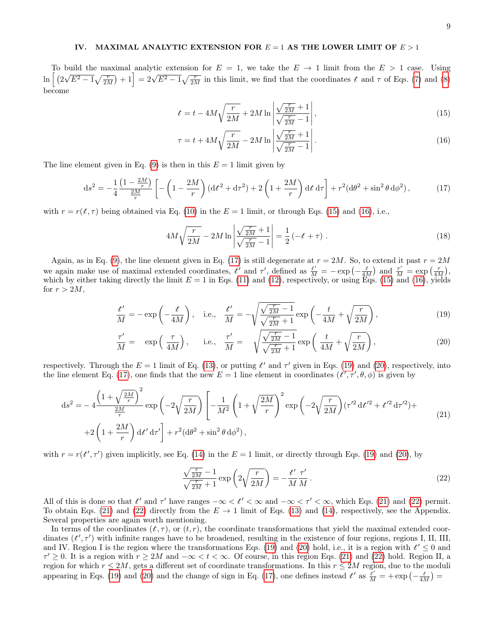# <span id="page-8-0"></span>IV. MAXIMAL ANALYTIC EXTENSION FOR  $E = 1$  AS THE LOWER LIMIT OF  $E > 1$

To build the maximal analytic extension for  $E = 1$ , we take the  $E \to 1$  limit from the  $E > 1$  case. Using  $\ln \big[~(2$ bund the maximal analysic extension for  $E = 1$ , we take the  $E > 1$  mint from the  $E > 1$  case. Using  $\sqrt{E^2 - 1}\sqrt{\frac{r}{2M}} + 1 = 2\sqrt{E^2 - 1}\sqrt{\frac{r}{2M}}$  in this limit, we find that the coordinates t and  $\tau$  of Eqs. [\(7\)](#page-4-2) and [\(8\)](#page-4-3) become

<span id="page-8-1"></span>
$$
t = t - 4M\sqrt{\frac{r}{2M}} + 2M\ln\left|\frac{\sqrt{\frac{r}{2M}} + 1}{\sqrt{\frac{r}{2M}} - 1}\right|,\tag{15}
$$

<span id="page-8-2"></span>
$$
\tau = t + 4M\sqrt{\frac{r}{2M}} - 2M\ln\left|\frac{\sqrt{\frac{r}{2M}} + 1}{\sqrt{\frac{r}{2M}} - 1}\right|.
$$
\n(16)

The line element given in Eq. [\(9\)](#page-4-1) is then in this  $E = 1$  limit given by

<span id="page-8-3"></span>
$$
ds^{2} = -\frac{1}{4} \frac{\left(1 - \frac{2M}{r}\right)}{\frac{2M}{r}} \left[ -\left(1 - \frac{2M}{r}\right) \left(dt^{2} + d\tau^{2}\right) + 2\left(1 + \frac{2M}{r}\right) dt d\tau \right] + r^{2} (d\theta^{2} + \sin^{2}\theta d\phi^{2}),\tag{17}
$$

with  $r = r(t, \tau)$  being obtained via Eq. [\(10\)](#page-4-4) in the  $E = 1$  limit, or through Eqs. [\(15\)](#page-8-1) and [\(16\)](#page-8-2), i.e.,

<span id="page-8-4"></span>
$$
4M\sqrt{\frac{r}{2M}} - 2M\ln\left|\frac{\sqrt{\frac{r}{2M}} + 1}{\sqrt{\frac{r}{2M}} - 1}\right| = \frac{1}{2}\left(-t + \tau\right). \tag{18}
$$

Again, as in Eq. [\(9\)](#page-4-1), the line element given in Eq. [\(17\)](#page-8-3) is still degenerate at  $r = 2M$ . So, to extend it past  $r = 2M$ we again make use of maximal extended coordinates,  $t'$  and  $\tau'$ , defined as  $\frac{t'}{M} = -\exp\left(-\frac{t}{4M}\right)$  and  $\frac{\tau'}{M} = \exp\left(\frac{\tau}{4M}\right)$ , which by either taking directly the limit  $E = 1$  in Eqs. [\(11\)](#page-5-0) and [\(12\)](#page-5-1), respectively, or using Eqs. [\(15\)](#page-8-1) and [\(16\)](#page-8-2), yields for  $r > 2M$ ,

$$
\frac{t'}{M} = -\exp\left(-\frac{t}{4M}\right), \quad \text{i.e.,} \quad \frac{t'}{M} = -\sqrt{\frac{\sqrt{\frac{r}{2M}} - 1}{\sqrt{\frac{r}{2M}} + 1}} \exp\left(-\frac{t}{4M} + \sqrt{\frac{r}{2M}}\right),\tag{19}
$$

$$
\frac{\tau'}{M} = \exp\left(\frac{\tau}{4M}\right), \quad \text{i.e.,} \quad \frac{\tau'}{M} = \sqrt{\frac{\sqrt{\frac{r}{2M}} - 1}{\sqrt{\frac{r}{2M}} + 1}} \exp\left(\frac{t}{4M} + \sqrt{\frac{r}{2M}}\right), \tag{20}
$$

respectively. Through the  $E = 1$  limit of Eq. [\(13\)](#page-5-2), or putting  $t'$  and  $\tau'$  given in Eqs. [\(19\)](#page-8-4) and [\(20\)](#page-8-5), respectively, into the line element Eq. [\(17\)](#page-8-3), one finds that the new  $E = 1$  line element in coordinates  $(t', \tau', \theta, \phi)$  is given by

<span id="page-8-6"></span>
$$
ds^{2} = -4 \frac{\left(1 + \sqrt{\frac{2M}{r}}\right)^{2}}{\frac{2M}{r}} \exp\left(-2\sqrt{\frac{r}{2M}}\right) \left[-\frac{1}{M^{2}}\left(1 + \sqrt{\frac{2M}{r}}\right)^{2} \exp\left(-2\sqrt{\frac{r}{2M}}\right)(\tau'^{2} dt'^{2} + t'^{2} d\tau'^{2}) + \right. \\
\left. +2\left(1 + \frac{2M}{r}\right) d t' d\tau'\right] + r^{2} (d\theta^{2} + \sin^{2}\theta d\phi^{2}),
$$
\n(21)

with  $r = r(t', \tau')$  given implicitly, see Eq. [\(14\)](#page-5-3) in the  $E = 1$  limit, or directly through Eqs. [\(19\)](#page-8-4) and [\(20\)](#page-8-5), by

<span id="page-8-7"></span><span id="page-8-5"></span>
$$
\frac{\sqrt{\frac{r}{2M}} - 1}{\sqrt{\frac{r}{2M}} + 1} \exp\left(2\sqrt{\frac{r}{2M}}\right) = -\frac{t'}{M} \frac{\tau'}{M}.
$$
\n(22)

All of this is done so that t' and  $\tau'$  have ranges  $-\infty < t' < \infty$  and  $-\infty < \tau' < \infty$ , which Eqs. [\(21\)](#page-8-6) and [\(22\)](#page-8-7) permit. To obtain Eqs. [\(21\)](#page-8-6) and [\(22\)](#page-8-7) directly from the  $E \to 1$  limit of Eqs. [\(13\)](#page-5-2) and [\(14\)](#page-5-3), respectively, see the Appendix. Several properties are again worth mentioning.

In terms of the coordinates  $(t, \tau)$ , or  $(t, r)$ , the coordinate transformations that yield the maximal extended coordinates  $(t', \tau')$  with infinite ranges have to be broadened, resulting in the existence of four regions, regions I, II, III, and IV. Region I is the region where the transformations Eqs. [\(19\)](#page-8-4) and [\(20\)](#page-8-5) hold, i.e., it is a region with  $t' \leq 0$  and  $\tau' \geq 0$ . It is a region with  $r \geq 2M$  and  $-\infty < t < \infty$ . Of course, in this region Eqs. [\(21\)](#page-8-6) and [\(22\)](#page-8-7) hold. Region II, a region for which  $r \le 2M$ , gets a different set of coordinate transformations. In this  $r \le 2M$  region, due to the moduli appearing in Eqs. [\(19\)](#page-8-4) and [\(20\)](#page-8-5) and the change of sign in Eq. [\(17\)](#page-8-3), one defines instead  $t'$  as  $\frac{t'}{M}$  = + exp  $\left(-\frac{t}{4M}\right)$  =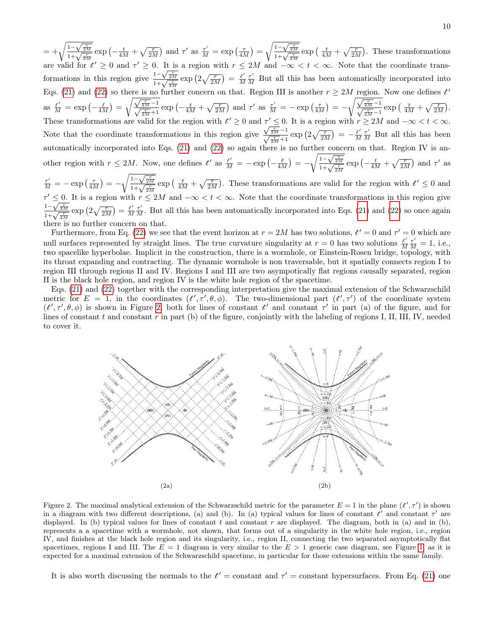$=\pm\sqrt{\frac{1-\sqrt{\frac{r}{2M}}}{1+\sqrt{\frac{r}{2M}}}}\exp\left(-\frac{t}{4M}+\sqrt{\frac{r}{2M}}\right)$  and  $\tau'$  as  $\frac{\tau'}{M}=\exp\left(\frac{\tau}{4M}\right)=\sqrt{\frac{1-\sqrt{\frac{r}{2M}}}{1+\sqrt{\frac{r}{2M}}}}\exp\left(-\frac{t}{4M}+\sqrt{\frac{r}{2M}}\right)$ . These transformations are valid for  $t' \geq 0$  and  $\tau' \geq 0$ . It is a region with  $r \leq 2M$  and  $-\infty < t < \infty$ . Note that the coordinate transformations in this region give  $\frac{1-\sqrt{\frac{r}{2M}}}{1+\sqrt{\frac{r}{2M}}}$  exp  $\left(2\sqrt{\frac{r}{2M}}\right) = \frac{t'}{M}$  $\frac{t'}{M}\frac{\tau'}{M}$  But all this has been automatically incorporated into Eqs. [\(21\)](#page-8-6) and [\(22\)](#page-8-7) so there is no further concern on that. Region III is another  $r \ge 2M$  region. Now one defines  $t'$ Let the subset of  $\frac{t'}{M} = \exp\left(-\frac{t}{4M}\right) = \sqrt{\frac{\sqrt{\frac{r}{2M}}-1}{\sqrt{\frac{r}{2M}}+1}} \exp\left(-\frac{t}{4M} + \sqrt{\frac{r}{2M}}\right)$  and  $\tau'$  as  $\frac{\tau'}{M} = -\exp\left(\frac{\tau}{4M}\right) = -\sqrt{\frac{\sqrt{\frac{r}{2M}}-1}{\sqrt{\frac{r}{2M}}-1}} \exp\left(-\frac{t}{4M} + \sqrt{\frac{r}{2M}}\right)$ . These transformations are valid for the region with  $t' \geq 0$  and  $\tau' \leq 0$ . It is a region with  $r \geq 2M$  and  $-\infty < t < \infty$ . Note that the coordinate transformations in this region give  $\frac{\sqrt{\frac{r}{2M}}-1}{\sqrt{\frac{r}{2M}}+1}$  exp  $\left(2\sqrt{\frac{r}{2M}}\right) = -\frac{t'}{M}$  $\frac{t'}{M} \frac{\tau'}{M}$  But all this has been automatically incorporated into Eqs. [\(21\)](#page-8-6) and [\(22\)](#page-8-7) so again there is no further concern on that. Region IV is another region with  $r \le 2M$ . Now, one defines  $t'$  as  $\frac{t'}{M} = -\exp\left(-\frac{t}{4M}\right) = -\sqrt{\frac{1-\sqrt{\frac{r}{2M}}}{1+\sqrt{\frac{r}{2M}}}} \exp\left(-\frac{t}{4M} + \sqrt{\frac{r}{2M}}\right)$  and  $\tau'$  as  $\frac{\tau'}{M} = -\exp\left(\frac{\tau}{4M}\right) = -\sqrt{\frac{1-\sqrt{\frac{r}{2M}}}{1+\sqrt{\frac{r}{2M}}}} \exp\left(\frac{t}{4M} + \sqrt{\frac{r}{2M}}\right)$ . These transformations are valid for the region with  $t' \leq 0$  and

 $\tau' \leq 0$ . It is a region with  $r \leq 2M$  and  $-\infty < t < \infty$ . Note that the coordinate transformations in this region give  $\tau \leq 0$ . It is a region with<br> $\frac{1-\sqrt{\frac{r}{2M}}}{1+\sqrt{\frac{r}{2M}}}$   $\exp\left(2\sqrt{\frac{r}{2M}}\right) = \frac{t'}{M}$  $\frac{t'}{M}\frac{\tau'}{M}$ . But all this has been automatically incorporated into Eqs. [\(21\)](#page-8-6) and [\(22\)](#page-8-7) so once again there is no further concern on that.

Furthermore, from Eq. [\(22\)](#page-8-7) we see that the event horizon at  $r = 2M$  has two solutions,  $t' = 0$  and  $\tau' = 0$  which are null surfaces represented by straight lines. The true curvature singularity at  $r = 0$  has two solutions  $\frac{t'}{M}$  $\frac{t'}{M}\frac{\tau'}{M} = 1$ , i.e., two spacelike hyperbolae. Implicit in the construction, there is a wormhole, or Einstein-Rosen bridge, topology, with its throat expanding and contracting. The dynamic wormhole is non traversable, but it spatially connects region I to region III through regions II and IV. Regions I and III are two asympotically flat regions causally separated, region II is the black hole region, and region IV is the white hole region of the spacetime.

Eqs. [\(21\)](#page-8-6) and [\(22\)](#page-8-7) together with the corresponding interpretation give the maximal extension of the Schwarzschild metric for  $E = 1$ , in the coordinates  $(t', \tau', \theta, \phi)$ . The two-dimensional part  $(t', \tau')$  of the coordinate system  $(t', \tau', \theta, \phi)$  is shown in Figure [2,](#page-9-0) both for lines of constant  $t'$  and constant  $\tau'$  in part (a) of the figure, and for lines of constant  $t$  and constant  $r$  in part (b) of the figure, conjointly with the labeling of regions I, II, III, IV, needed to cover it.



<span id="page-9-0"></span>Figure 2. The maximal analytical extension of the Schwarzschild metric for the parameter  $E = 1$  in the plane  $(t', \tau')$  is shown in a diagram with two different descriptions, (a) and (b). In (a) typical values for lines of constant  $t'$  and constant  $\tau'$  are displayed. In (b) typical values for lines of constant t and constant r are displayed. The diagram, both in (a) and in (b), represents a a spacetime with a wormhole, not shown, that forms out of a singularity in the white hole region, i.e., region IV, and finishes at the black hole region and its singularity, i.e., region II, connecting the two separated asymptotically flat spacetimes, regions I and III. The  $E = 1$  diagram is very similar to the  $E > 1$  generic case diagram, see Figure [1,](#page-7-0) as it is expected for a maximal extension of the Schwarzschild spacetime, in particular for those extensions within the same family.

It is also worth discussing the normals to the  $t' =$  constant and  $\tau' =$  constant hypersurfaces. From Eq. [\(21\)](#page-8-6) one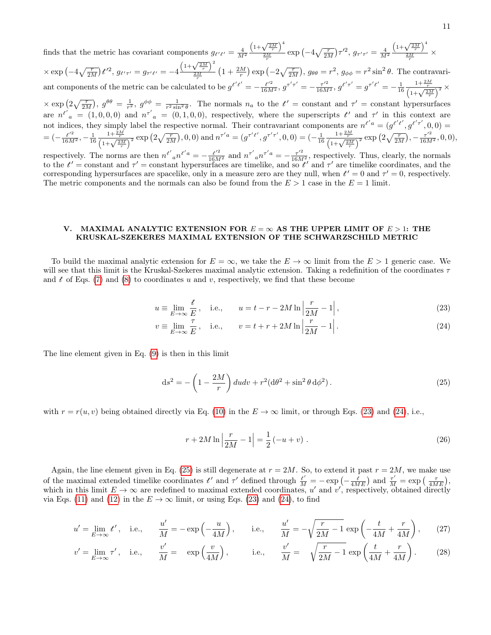finds that the metric has covariant components  $g_{t' t'} = \frac{4}{M^2}$  $\left(1+\sqrt{\frac{2M}{r}}\right)^4$  $\frac{\sqrt{-r}}{2M}$  exp  $\left(-4\sqrt{\frac{r}{2M}}\right)$   $\tau'^2$ ,  $g_{\tau'\tau'}=\frac{4}{M^2}$  $\overline{r}$   $\overline{r}$   $\overline{r}$   $\overline{r}$   $\overline{r}$  $\left(1+\sqrt{\frac{2M}{r}}\right)^4$  $\frac{v-r}{2M} \times$ 

 $\times \exp\left(-4\sqrt{\frac{r}{2M}}\right)t'^2, g_{t'\tau'} = g_{\tau' t'} = -4\frac{\left(1+\sqrt{\frac{2M}{r}}\right)^2}{\frac{2M}{r}}$  $\sqrt{\frac{N-r}{r}} \left(1+\frac{2M}{r}\right) \exp\left(-2\sqrt{\frac{r}{2M}}\right), g_{\theta\theta} = r^2, g_{\phi\phi} = r^2 \sin^2\theta.$  The contravariant components of the metric can be calculated to be  $g^{t't'} = -\frac{t'^2}{16M^2}$ ,  $g^{\tau'\tau'} = -\frac{\tau'^2}{16M^2}$ ,  $g^{t'\tau'} = g^{\tau' t'} = -\frac{1}{16}$  $\frac{1+\frac{2M}{r}}{\left(1+\sqrt{\frac{2M}{r}}\right)^2}$   $\times$ 

 $\times \exp\left(2\sqrt{\frac{r}{2M}}\right), g^{\theta\theta} = \frac{1}{r^2}, g^{\phi\phi} = \frac{1}{r^2 \sin^2 \theta}$ . The normals  $n_a$  to the  $t' = \text{constant}$  and  $\tau' = \text{constant}$  hypersurfaces are  $n^{t'} a = (1, 0, 0, 0)$  and  $n^{\tau'} a = (0, 1, 0, 0)$ , respectively, where the superscripts  $t'$  and  $\tau'$  in this context are not indices, they simply label the respective normal. Their contravariant components are  $n^{t'a} = (g^{t't'}, g^{t'\tau'}, 0, 0) =$  $= (-\frac{t'^2}{16M^2}, -\frac{1}{16})$  $\frac{1+\frac{2M}{r}}{\left(1+\sqrt{\frac{2M}{r}}\right)^2}$  exp  $\left(2\sqrt{\frac{r}{2M}}\right)$ , 0, 0) and  $n^{\tau' a} = (g^{\tau' t'}, g^{\tau' \tau'}, 0, 0) = (-\frac{1}{16})$  $\frac{1+\frac{2M}{r}}{\left(1+\sqrt{\frac{2M}{r}}\right)^2} \exp\left(2\sqrt{\frac{r}{2M}}\right), -\frac{\tau'^2}{16M^2}, 0, 0),$ 

respectively. The norms are then  $n^{t'} a n^{t'a} = -\frac{t'^2}{16M^2}$  and  $n^{\tau'} a n^{\tau'a} = -\frac{\tau'^2}{16M^2}$ , respectively. Thus, clearly, the normals to the  $t'$  = constant and  $\tau'$  = constant hypersurfaces are timelike, and so  $t'$  and  $\tau'$  are timelike coordinates, and the corresponding hypersurfaces are spacelike, only in a measure zero are they null, when  $t' = 0$  and  $\tau' = 0$ , respectively. The metric components and the normals can also be found from the  $E > 1$  case in the  $E = 1$  limit.

## <span id="page-10-0"></span>V. MAXIMAL ANALYTIC EXTENSION FOR  $E = \infty$  AS THE UPPER LIMIT OF  $E > 1$ : THE KRUSKAL-SZEKERES MAXIMAL EXTENSION OF THE SCHWARZSCHILD METRIC

To build the maximal analytic extension for  $E = \infty$ , we take the  $E \to \infty$  limit from the  $E > 1$  generic case. We will see that this limit is the Kruskal-Szekeres maximal analytic extension. Taking a redefinition of the coordinates  $\tau$ and t of Eqs. [\(7\)](#page-4-2) and [\(8\)](#page-4-3) to coordinates u and v, respectively, we find that these become

<span id="page-10-1"></span>
$$
u \equiv \lim_{E \to \infty} \frac{t}{E}, \quad \text{i.e.,} \qquad u = t - r - 2M \ln \left| \frac{r}{2M} - 1 \right|,
$$
\n(23)

$$
v \equiv \lim_{E \to \infty} \frac{\tau}{E}, \quad \text{i.e.,} \qquad v = t + r + 2M \ln \left| \frac{r}{2M} - 1 \right|.
$$
 (24)

The line element given in Eq. [\(9\)](#page-4-1) is then in this limit

<span id="page-10-3"></span>
$$
ds^{2} = -\left(1 - \frac{2M}{r}\right) du dv + r^{2} (d\theta^{2} + \sin^{2} \theta d\phi^{2}).
$$
\n(25)

with  $r = r(u, v)$  being obtained directly via Eq. [\(10\)](#page-4-4) in the  $E \to \infty$  limit, or through Eqs. [\(23\)](#page-10-1) and [\(24\)](#page-10-2), i.e.,

<span id="page-10-5"></span><span id="page-10-4"></span><span id="page-10-2"></span>
$$
r + 2M \ln \left| \frac{r}{2M} - 1 \right| = \frac{1}{2} \left( -u + v \right) . \tag{26}
$$

Again, the line element given in Eq. [\(25\)](#page-10-3) is still degenerate at  $r = 2M$ . So, to extend it past  $r = 2M$ , we make use of the maximal extended timelike coordinates  $t'$  and  $\tau'$  defined through  $\frac{t'}{M} = -\exp\left(-\frac{t}{4ME}\right)$  and  $\frac{\tau'}{M} = \exp\left(-\frac{\tau}{4ME}\right)$ , which in this limit  $E \to \infty$  are redefined to maximal extended coordinates, u' and v', respectively, obtained directly via Eqs. [\(11\)](#page-5-0) and [\(12\)](#page-5-1) in the  $E \to \infty$  limit, or using Eqs. [\(23\)](#page-10-1) and [\(24\)](#page-10-2), to find

$$
u' = \lim_{E \to \infty} t', \quad \text{i.e.,} \qquad \frac{u'}{M} = -\exp\left(-\frac{u}{4M}\right), \qquad \text{i.e.,} \qquad \frac{u'}{M} = -\sqrt{\frac{r}{2M} - 1} \exp\left(-\frac{t}{4M} + \frac{r}{4M}\right), \tag{27}
$$

$$
v' = \lim_{E \to \infty} \tau', \quad \text{i.e.,} \qquad \frac{v'}{M} = \exp\left(\frac{v}{4M}\right), \qquad \text{i.e.,} \qquad \frac{v'}{M} = \sqrt{\frac{r}{2M} - 1} \exp\left(\frac{t}{4M} + \frac{r}{4M}\right). \tag{28}
$$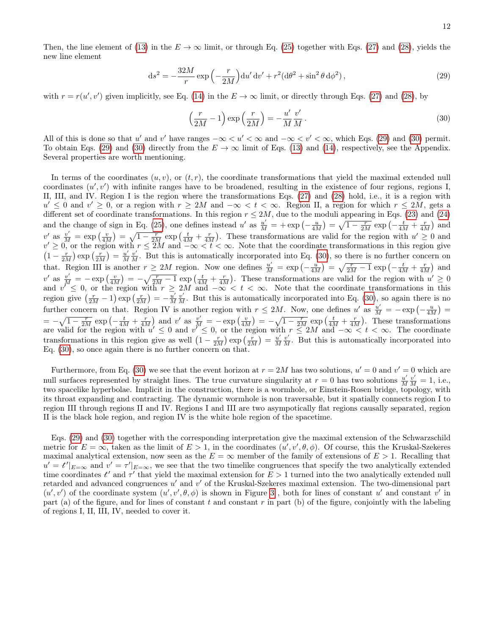<span id="page-11-0"></span>
$$
\mathrm{d}s^2 = -\frac{32M}{r}\exp\left(-\frac{r}{2M}\right)\mathrm{d}u'\,\mathrm{d}v' + r^2(\mathrm{d}\theta^2 + \sin^2\theta\,\mathrm{d}\phi^2)\,,\tag{29}
$$

with  $r = r(u', v')$  given implicitly, see Eq. [\(14\)](#page-5-3) in the  $E \to \infty$  limit, or directly through Eqs. [\(27\)](#page-10-4) and [\(28\)](#page-10-5), by

<span id="page-11-1"></span>
$$
\left(\frac{r}{2M} - 1\right) \exp\left(\frac{r}{2M}\right) = -\frac{u'}{M} \frac{v'}{M}.
$$
\n(30)

All of this is done so that u' and v' have ranges  $-\infty < u' < \infty$  and  $-\infty < v' < \infty$ , which Eqs. [\(29\)](#page-11-0) and [\(30\)](#page-11-1) permit. To obtain Eqs. [\(29\)](#page-11-0) and [\(30\)](#page-11-1) directly from the  $E \to \infty$  limit of Eqs. [\(13\)](#page-5-2) and [\(14\)](#page-5-3), respectively, see the Appendix. Several properties are worth mentioning.

In terms of the coordinates  $(u, v)$ , or  $(t, r)$ , the coordinate transformations that yield the maximal extended null coordinates  $(u', v')$  with infinite ranges have to be broadened, resulting in the existence of four regions, regions I, II, III, and IV. Region I is the region where the transformations Eqs. [\(27\)](#page-10-4) and [\(28\)](#page-10-5) hold, i.e., it is a region with  $u' \leq 0$  and  $v' \geq 0$ , or a region with  $r \geq 2M$  and  $-\infty < t < \infty$ . Region II, a region for which  $r \leq 2M$ , gets a different set of coordinate transformations. In this region  $r \le 2M$ , due to the moduli appearing in Eqs. [\(23\)](#page-10-1) and [\(24\)](#page-10-2) and the change of sign in Eq. [\(25\)](#page-10-3), one defines instead u' as  $\frac{u'}{M} = + \exp\left(-\frac{u}{4M}\right) = \sqrt{1 - \frac{r}{2M}} \exp\left(-\frac{t}{4M} + \frac{r}{4M}\right)$  and v' as  $\frac{v'}{M} = \exp\left(\frac{v}{4M}\right) = \sqrt{1 - \frac{r}{2M}} \exp\left(\frac{t}{4M} + \frac{r}{4M}\right)$ . These transformations are valid for the region with  $u' \ge 0$  and  $v' \geq 0$ , or the region with  $r \leq 2M$  and  $-\infty < t < \infty$ . Note that the coordinate transformations in this region give  $\left(1-\frac{r}{2M}\right)\exp\left(\frac{r}{2M}\right)=\frac{u'}{M}$  $\frac{u'}{M}\frac{v'}{M}$ . But this is automatically incorporated into Eq. [\(30\)](#page-11-1), so there is no further concern on that. Region III is another  $r \geq 2M$  region. Now one defines  $\frac{u'}{M} = \exp\left(-\frac{u}{4M}\right) = \sqrt{\frac{r}{2M}-1} \exp\left(-\frac{t}{4M} + \frac{r}{4M}\right)$  and v' as  $\frac{v'}{M} = -\exp\left(\frac{v}{4M}\right) = -\sqrt{\frac{r}{2M}-1} \exp\left(\frac{t}{4M}+\frac{r}{4M}\right)$ . These transformations are valid for the region with  $u' \ge 0$ and  $v'' \leq 0$ , or the region with  $r \geq 2M$  and  $-\infty < t < \infty$ . Note that the coordinate transformations in this region give  $\left(\frac{r}{2M} - 1\right) \exp\left(\frac{r}{2M}\right) = -\frac{u'}{M}$  $\frac{u'}{M}\frac{v'}{M}$ . But this is automatically incorporated into Eq. [\(30\)](#page-11-1), so again there is no further concern on that. Region IV is another region with  $r \le 2M$ . Now, one defines u' as  $\frac{u'}{M} = -\exp(-\frac{u}{4M})$  $= -\sqrt{1-\frac{r}{2M}} \exp\left(-\frac{t}{4M}+\frac{r}{4M}\right)$  and v' as  $\frac{v'}{M} = -\exp\left(\frac{v}{4M}\right) = -\sqrt{1-\frac{r}{2M}} \exp\left(\frac{t}{4M}+\frac{r}{4M}\right)$ . These transformations are valid for the region with  $u' \leq 0$  and  $v'' \leq 0$ , or the region with  $r \leq 2M$  and  $-\infty < t < \infty$ . The coordinate transformations in this region give as well  $\left(1 - \frac{r}{2M}\right) \exp\left(\frac{r}{2M}\right) = \frac{u'}{M}$  $\frac{u'}{M}\frac{v'}{M}$ . But this is automatically incorporated into Eq. [\(30\)](#page-11-1), so once again there is no further concern on that.

Furthermore, from Eq. [\(30\)](#page-11-1) we see that the event horizon at  $r = 2M$  has two solutions,  $u' = 0$  and  $v' = 0$  which are null surfaces represented by straight lines. The true curvature singularity at  $r=0$  has two solutions  $\frac{u'}{M}$  $\frac{u'}{M}\frac{v'}{M} = 1$ , i.e., two spacelike hyperbolae. Implicit in the construction, there is a wormhole, or Einstein-Rosen bridge, topology, with its throat expanding and contracting. The dynamic wormhole is non traversable, but it spatially connects region I to region III through regions II and IV. Regions I and III are two asympotically flat regions causally separated, region II is the black hole region, and region IV is the white hole region of the spacetime.

Eqs. [\(29\)](#page-11-0) and [\(30\)](#page-11-1) together with the corresponding interpretation give the maximal extension of the Schwarzschild metric for  $E = \infty$ , taken as the limit of  $E > 1$ , in the coordinates  $(u', v', \theta, \phi)$ . Of course, this the Kruskal-Szekeres maximal analytical extension, now seen as the  $E = \infty$  member of the family of extensions of  $E > 1$ . Recalling that  $u' = t'|_{E=\infty}$  and  $v' = \tau'|_{E=\infty}$ , we see that the two timelike congruences that specify the two analytically extended time coordinates  $t'$  and  $\tau'$  that yield the maximal extension for  $E > 1$  turned into the two analytically extended null retarded and advanced congruences  $u'$  and  $v'$  of the Kruskal-Szekeres maximal extension. The two-dimensional part  $(u', v')$  of the coordinate system  $(u', v', \theta, \phi)$  is shown in Figure [3](#page-12-1), both for lines of constant u' and constant v' in part (a) of the figure, and for lines of constant t and constant  $r$  in part (b) of the figure, conjointly with the labeling of regions I, II, III, IV, needed to cover it.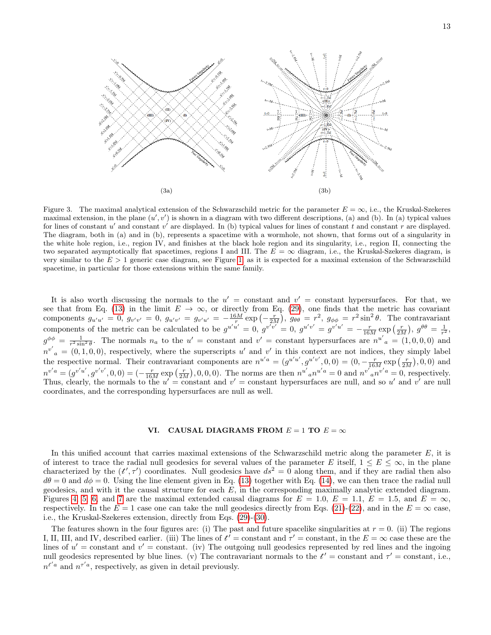

<span id="page-12-1"></span>Figure 3. The maximal analytical extension of the Schwarzschild metric for the parameter  $E = \infty$ , i.e., the Kruskal-Szekeres maximal extension, in the plane  $(u', v')$  is shown in a diagram with two different descriptions, (a) and (b). In (a) typical values for lines of constant u' and constant v' are displayed. In (b) typical values for lines of constant t and constant r are displayed. The diagram, both in (a) and in (b), represents a spacetime with a wormhole, not shown, that forms out of a singularity in the white hole region, i.e., region IV, and finishes at the black hole region and its singularity, i.e., region II, connecting the two separated asymptotically flat spacetimes, regions I and III. The  $E = \infty$  diagram, i.e., the Kruskal-Szekeres diagram, is very similar to the  $E > 1$  generic case diagram, see Figure [1,](#page-7-0) as it is expected for a maximal extension of the Schwarzschild spacetime, in particular for those extensions within the same family.

It is also worth discussing the normals to the  $u' = constant$  and  $v' = constant$  hypersurfaces. For that, we see that from Eq. [\(13\)](#page-5-2) in the limit  $E \to \infty$ , or directly from Eq. [\(29\)](#page-11-0), one finds that the metric has covariant components  $g_{u'u'} = 0$ ,  $g_{v'v'} = 0$ ,  $g_{u'v'} = g_{v'u'} = -\frac{16M}{r} \exp\left(-\frac{r}{2M}\right)$ ,  $g_{\theta\theta} = r^2$ ,  $g_{\phi\phi} = r^2 \sin^2 \theta$ . The contravariant components of the metric can be calculated to be  $g^{u'u'} = 0$ ,  $g^{v'v'} = 0$ ,  $g^{u'v'} = g^{v'u'} = -\frac{r}{16M} \exp\left(\frac{r}{2M}\right)$ ,  $g^{\theta\theta} = \frac{1}{r^2}$ ,  $g^{\phi\phi} = \frac{1}{r^2 \sin^2 \theta}$ . The normals  $n_a$  to the  $u' = \text{constant}$  and  $v' = \text{constant}$  hypersurfaces are  $n^{u'}{}_a = (1,0,0,0)$  and r  $n^{v'}$ <sub>a</sub> = (0,1,0,0), respectively, where the superscripts u' and v' in this context are not indices, they simply label the respective normal. Their contravariant components are  $n^{u'a} = (g^{u'u'}, g^{u'v'}, 0, 0) = (0, -\frac{r}{16M} \exp(\frac{r}{2M}), 0, 0)$  and  $n^{v'a} = (g^{v'u'}, g^{v'v'}, 0, 0) = (-\frac{r}{16M} \exp(\frac{r}{2M}), 0, 0, 0)$ . The norms are then  $n^{u'}{}_{a}n^{u'a} = 0$  and  $n^{v'}{}_{a}n^{v'a} = 0$ , respectively. Thus, clearly, the normals to the  $u' = constant$  and  $v' = constant$  hypersurfaces are null, and so u' and v' are null coordinates, and the corresponding hypersurfaces are null as well.

# <span id="page-12-0"></span>VI. CAUSAL DIAGRAMS FROM  $E = 1$  TO  $E = \infty$

In this unified account that carries maximal extensions of the Schwarzschild metric along the parameter  $E$ , it is of interest to trace the radial null geodesics for several values of the parameter E itself,  $1 \le E \le \infty$ , in the plane characterized by the  $(t', \tau')$  coordinates. Null geodesics have  $ds^2 = 0$  along them, and if they are radial then also  $d\theta = 0$  and  $d\phi = 0$ . Using the line element given in Eq. [\(13\)](#page-5-2) together with Eq. [\(14\)](#page-5-3), we can then trace the radial null geodesics, and with it the causal structure for each  $E$ , in the corresponding maximally analytic extended diagram. Figures [4,](#page-13-0) [5,](#page-13-1) [6,](#page-14-0) and [7](#page-14-1) are the maximal extended causal diagrams for  $E = 1.0, E = 1.1, E = 1.5$ , and  $E = \infty$ , respectively. In the  $E = 1$  case one can take the null geodesics directly from Eqs. [\(21\)](#page-8-6)-[\(22\)](#page-8-7), and in the  $E = \infty$  case, i.e., the Kruskal-Szekeres extension, directly from Eqs. [\(29\)](#page-11-0)-[\(30\)](#page-11-1).

The features shown in the four figures are: (i) The past and future spacelike singularities at  $r = 0$ . (ii) The regions I, II, III, and IV, described earlier. (iii) The lines of  $t' =$  constant and  $\tau' =$  constant, in the  $E = \infty$  case these are the lines of  $u' = constant$  and  $v' = constant$ . (iv) The outgoing null geodesics represented by red lines and the ingoing null geodesics represented by blue lines. (v) The contravariant normals to the  $t' =$ constant and  $\tau' =$ constant, i.e.,  $n^{t'a}$  and  $n^{\tau'a}$ , respectively, as given in detail previously.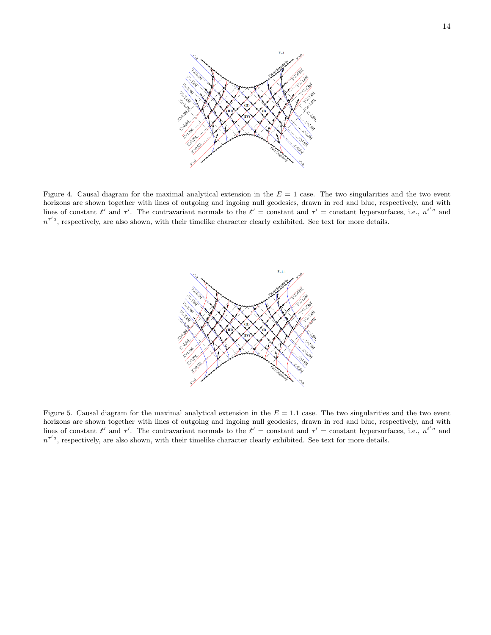

<span id="page-13-0"></span>Figure 4. Causal diagram for the maximal analytical extension in the  $E = 1$  case. The two singularities and the two event horizons are shown together with lines of outgoing and ingoing null geodesics, drawn in red and blue, respectively, and with lines of constant  $t'$  and  $\tau'$ . The contravariant normals to the  $t' =$  constant and  $\tau' =$  constant hypersurfaces, i.e.,  $n^{t'a}$  and  $n^{\tau' a}$ , respectively, are also shown, with their timelike character clearly exhibited. See text for more details.



<span id="page-13-1"></span>Figure 5. Causal diagram for the maximal analytical extension in the  $E = 1.1$  case. The two singularities and the two event horizons are shown together with lines of outgoing and ingoing null geodesics, drawn in red and blue, respectively, and with lines of constant  $t'$  and  $\tau'$ . The contravariant normals to the  $t' =$  constant and  $\tau' =$  constant hypersurfaces, i.e.,  $n^{t'a}$  and  $n^{\tau' a}$ , respectively, are also shown, with their timelike character clearly exhibited. See text for more details.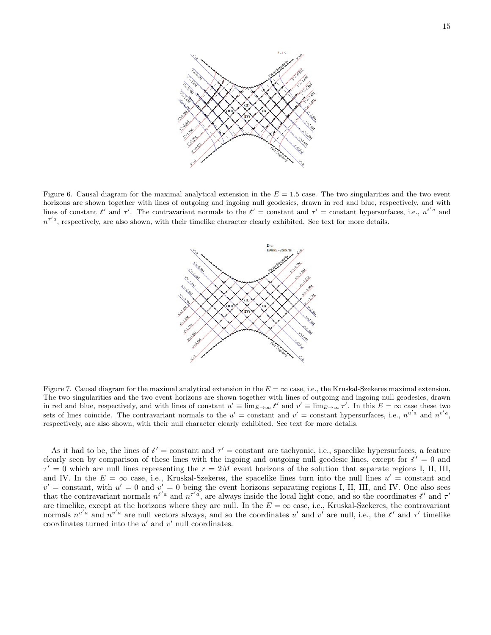

<span id="page-14-0"></span>Figure 6. Causal diagram for the maximal analytical extension in the  $E = 1.5$  case. The two singularities and the two event horizons are shown together with lines of outgoing and ingoing null geodesics, drawn in red and blue, respectively, and with lines of constant  $t'$  and  $\tau'$ . The contravariant normals to the  $t' =$  constant and  $\tau' =$  constant hypersurfaces, i.e.,  $n^{t'a}$  and  $n^{\tau' a}$ , respectively, are also shown, with their timelike character clearly exhibited. See text for more details.



<span id="page-14-1"></span>Figure 7. Causal diagram for the maximal analytical extension in the  $E = \infty$  case, i.e., the Kruskal-Szekeres maximal extension. The two singularities and the two event horizons are shown together with lines of outgoing and ingoing null geodesics, drawn in red and blue, respectively, and with lines of constant  $u' \equiv \lim_{E \to \infty} t'$  and  $v' \equiv \lim_{E \to \infty} \tau'$ . In this  $E = \infty$  case these two sets of lines coincide. The contravariant normals to the  $u' = \text{constant}$  and  $v' = \text{constant}$  hypersurfaces, i.e.,  $n^{u'a}$  and  $n^{v'a}$ , respectively, are also shown, with their null character clearly exhibited. See text for more details.

As it had to be, the lines of  $t' =$  constant and  $\tau' =$  constant are tachyonic, i.e., spacelike hypersurfaces, a feature clearly seen by comparison of these lines with the ingoing and outgoing null geodesic lines, except for  $t' = 0$  and  $\tau' = 0$  which are null lines representing the  $r = 2M$  event horizons of the solution that separate regions I, II, III, and IV. In the  $E = \infty$  case, i.e., Kruskal-Szekeres, the spacelike lines turn into the null lines  $u' = constant$  and  $v' =$  constant, with  $u' = 0$  and  $v' = 0$  being the event horizons separating regions I, II, III, and IV. One also sees that the contravariant normals  $n^{t'a}$  and  $n^{\tau' a}$ , are always inside the local light cone, and so the coordinates  $t'$  and  $\tau'$ are timelike, except at the horizons where they are null. In the  $E = \infty$  case, i.e., Kruskal-Szekeres, the contravariant normals  $n^{u'a}$  and  $n^{v'a}$  are null vectors always, and so the coordinates u' and v' are null, i.e., the t' and  $\tau'$  timelike coordinates turned into the  $u'$  and  $v'$  null coordinates.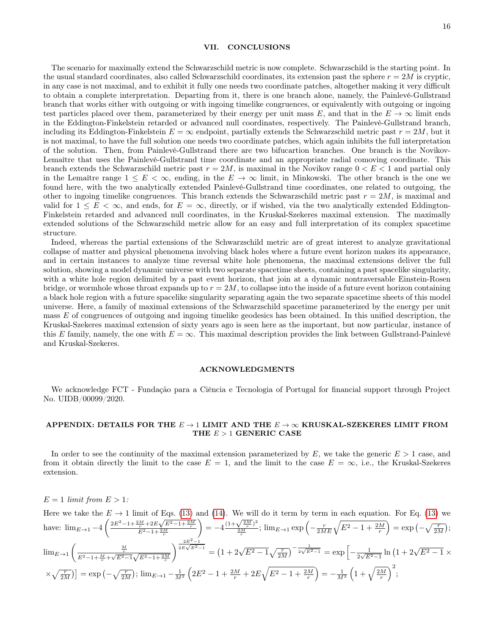### <span id="page-15-0"></span>VII. CONCLUSIONS

The scenario for maximally extend the Schwarzschild metric is now complete. Schwarzschild is the starting point. In the usual standard coordinates, also called Schwarzschild coordinates, its extension past the sphere  $r = 2M$  is cryptic, in any case is not maximal, and to exhibit it fully one needs two coordinate patches, altogether making it very difficult to obtain a complete interpretation. Departing from it, there is one branch alone, namely, the Painlevé-Gullstrand branch that works either with outgoing or with ingoing timelike congruences, or equivalently with outgoing or ingoing test particles placed over them, parameterized by their energy per unit mass E, and that in the  $E \to \infty$  limit ends in the Eddington-Finkelstein retarded or advanced null coordinates, respectively. The Painlevé-Gullstrand branch, including its Eddington-Finkelstein  $E = \infty$  endpoint, partially extends the Schwarzschild metric past  $r = 2M$ , but it is not maximal, to have the full solution one needs two coordinate patches, which again inhibits the full interpretation of the solution. Then, from Painlevé-Gullstrand there are two bifucartion branches. One branch is the Novikov-Lemaître that uses the Painlevé-Gullstrand time coordinate and an appropriate radial comoving coordinate. This branch extends the Schwarzschild metric past  $r = 2M$ , is maximal in the Novikov range  $0 < E < 1$  and partial only in the Lemaître range  $1 \leq E < \infty$ , ending, in the  $E \to \infty$  limit, in Minkowski. The other branch is the one we found here, with the two analytically extended Painlevé-Gullstrand time coordinates, one related to outgoing, the other to ingoing timelike congruences. This branch extends the Schwarzschild metric past  $r = 2M$ , is maximal and valid for  $1 \leq E < \infty$ , and ends, for  $E = \infty$ , directly, or if wished, via the two analytically extended Eddington-Finkelstein retarded and advanced null coordinates, in the Kruskal-Szekeres maximal extension. The maximally extended solutions of the Schwarzschild metric allow for an easy and full interpretation of its complex spacetime structure.

Indeed, whereas the partial extensions of the Schwarzschild metric are of great interest to analyze gravitational collapse of matter and physical phenomena involving black holes where a future event horizon makes its appearance, and in certain instances to analyze time reversal white hole phenomena, the maximal extensions deliver the full solution, showing a model dynamic universe with two separate spacetime sheets, containing a past spacelike singularity, with a white hole region delimited by a past event horizon, that join at a dynamic nontraversable Einstein-Rosen bridge, or wormhole whose throat expands up to  $r = 2M$ , to collapse into the inside of a future event horizon containing a black hole region with a future spacelike singularity separating again the two separate spacetime sheets of this model universe. Here, a family of maximal extensions of the Schwarzschild spacetime parameterized by the energy per unit mass E of congruences of outgoing and ingoing timelike geodesics has been obtained. In this unified description, the Kruskal-Szekeres maximal extension of sixty years ago is seen here as the important, but now particular, instance of this E family, namely, the one with  $E = \infty$ . This maximal description provides the link between Gullstrand-Painlevé and Kruskal-Szekeres.

### ACKNOWLEDGMENTS

We acknowledge FCT - Fundação para a Ciência e Tecnologia of Portugal for financial support through Project No. UIDB/00099/2020.

# APPENDIX: DETAILS FOR THE  $E \to 1$  LIMIT AND THE  $E \to \infty$  KRUSKAL-SZEKERES LIMIT FROM THE  $E > 1$  GENERIC CASE

In order to see the continuity of the maximal extension parameterized by  $E$ , we take the generic  $E > 1$  case, and from it obtain directly the limit to the case  $E = 1$ , and the limit to the case  $E = \infty$ , i.e., the Kruskal-Szekeres extension.

### $E = 1$  limit from  $E > 1$ :

Here we take the  $E \to 1$  limit of Eqs. [\(13\)](#page-5-2) and [\(14\)](#page-5-3). We will do it term by term in each equation. For Eq. (13) we have:  $\lim_{E \to 1} -4 \left( \frac{2E^2 - 1 + \frac{2M}{r} + 2E}{E^2 - 1 + \cdots} \right)$  $\frac{m}{r}+2E\sqrt{E^2-1+\frac{2M}{r}}$ <br> $E^2-1+\frac{2M}{r}$ and (14). We will<br>  $= -4 \frac{(1+\sqrt{\frac{2M}{r}})^2}{2M}$  $\frac{\sqrt{\frac{2M}{r}})^2}{\frac{2M}{r}}$ ;  $\lim_{E\to 1} \exp\left(-\frac{r}{2ME}\sqrt{E^2-1+\frac{2M}{r}}\right)=\exp\left(-\sqrt{\frac{r}{2M}}\right)$ ;  $\lim_{E\to 1} \left( \frac{\frac{M}{r}}{E^2 - 1 + \frac{M}{r} + \sqrt{E^2 - 1} \sqrt{E^2 - 1 + \frac{2M}{r}}} \right)$  $\sqrt{\frac{2E^2-1}{2E\sqrt{E^2-1}}} = (1+2\sqrt{E^2-1}\sqrt{\frac{r}{2M}})^{-\frac{1}{2\sqrt{E^2-1}}} = \exp\left[-\frac{1}{2\sqrt{E^2-1}}\right]$  $\frac{1}{2\sqrt{E^2-1}}\ln\left(1+2\sqrt{E^2-1}\right)$  ×  $\left[\left(\sqrt{\frac{r}{2M}}\right)\right] = \exp\left(-\sqrt{\frac{r}{2M}}\right); \, \lim_{E\to 1} -\frac{1}{M^2} \left(2E^2 - 1 + \frac{2M}{r} + 2E\sqrt{E^2 - 1 + \frac{2M}{r}}\right) = -\frac{1}{M^2} \left(1 + \sqrt{\frac{2M}{r}}\right)^2;$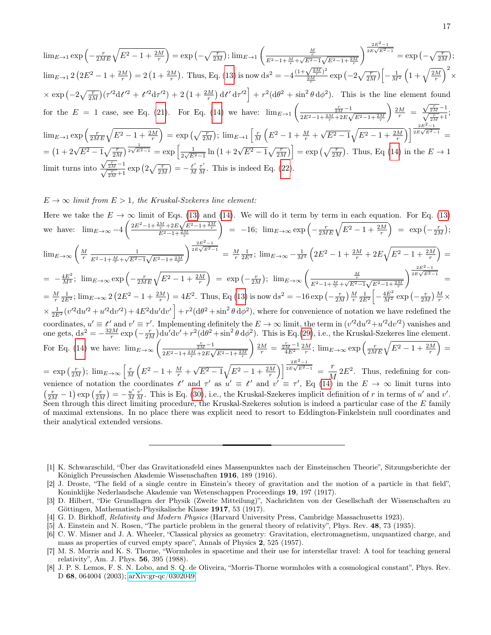$$
\lim_{E \to 1} \exp\left(-\frac{r}{2ME} \sqrt{E^2 - 1 + \frac{2M}{r}}\right) = \exp\left(-\sqrt{\frac{r}{2M}}\right); \lim_{E \to 1} \left(\frac{\frac{M}{E^2 - 1 + \frac{M}{r} + \sqrt{E^2 - 1} \sqrt{E^2 - 1 + \frac{2M}{r}}}}{E^2 - 1 + \frac{2M}{r}}\right)^{\frac{2E^2 - 1}{2E\sqrt{E^2 - 1}}} = \exp\left(-\sqrt{\frac{r}{2M}}\right);
$$
  
\n
$$
\lim_{E \to 1} 2\left(2E^2 - 1 + \frac{2M}{r}\right) = 2\left(1 + \frac{2M}{r}\right). \text{ Thus, Eq. (13) is now }\n\text{d}s^2 = -4\frac{(1 + \sqrt{\frac{2M}{2r}})^2}{\frac{2M}{r}} \exp\left(-2\sqrt{\frac{r}{2M}}\right) \left[-\frac{1}{M^2} \left(1 + \sqrt{\frac{2M}{r}}\right)^2 \times \exp\left(-2\sqrt{\frac{r}{2M}}\right) \left(\frac{r'^2}{r'^2}\right) + r^2\left(\frac{1}{4} + \frac{2M}{r}\right) \left(\frac{1}{4} + \frac{2M}{r}\right)\right]
$$
\n
$$
\times \exp\left(-2\sqrt{\frac{r}{2M}}\right) \left(\frac{r'^2}{r'^2}\right) + r'^2\left(1 + \frac{2M}{r}\right) \left(\frac{1}{4} + \frac{r'^2}{r^2}\right) + r^2\left(\frac{1}{4} + \frac{2M}{r}\right) \left(\frac{1}{4} + \frac{r'^2}{r'^2}\right).
$$
\nThis is the line element found for the  $E = 1$  case, see Eq. (21). For Eq. (14) we have: 
$$
\lim_{E \to 1} \left(\frac{\frac{r}{2E^2 - 1 + \frac{2M}{r}} - 1}{2E^2 - 1 + \frac{2M}{r}}\right) \frac{2M}{r} = \frac{\sqrt{\frac{r}{2M}} - 1}{\sqrt{\frac{r}{2M}} + 1};
$$
  
\n
$$
\lim_{E \to 1} \exp\left(\frac{r}{2ME} \sqrt{E^2 - 1 + \frac{2M}{r}}\right) = \exp\
$$

# $E \to \infty$  limit from  $E > 1$ , the Kruskal-Szekeres line element:

Here we take the  $E \to \infty$  limit of Eqs. [\(13\)](#page-5-2) and [\(14\)](#page-5-3). We will do it term by term in each equation. For Eq. (13) we have:  $\lim_{E \to \infty} -4 \left( \frac{2E^2 - 1 + \frac{2M}{r} + 2E}{E^2 - 1 + \frac{2M}{r} + 2E} \right)$ or Eqs. (15) and<br>  $\frac{m}{r}$  +2E $\sqrt{E^2-1+\frac{2M}{r}}$ <br>  $E^2-1+\frac{2M}{r}$  $\Big) = -16; \ \lim_{E \to \infty} \exp \left( -\frac{r}{2ME} \sqrt{E^2 - 1 + \frac{2M}{r}} \right) = \exp \left( -\frac{r}{2M} \right);$  $\lim_{E\to\infty}\left(\frac{M}{r}\frac{1}{E^2-1+\frac{M}{r}+\sqrt{E^2}}\right)$  $\frac{1}{E^2-1+\frac{M}{r}+\sqrt{E^2-1}\sqrt{E^2-1+\frac{2M}{r}}}$  $\int_{2E\sqrt{E^2-1}}^{2E^2-1} = \frac{M}{r} \frac{1}{2E^2}$ ;  $\lim_{E\to\infty} -\frac{1}{M^2} \left( 2E^2 - 1 + \frac{2M}{r} + 2E\sqrt{E^2 - 1 + \frac{2M}{r}} \right)$  $= -\frac{4E^2}{M^2}$ ;  $\lim_{E \to \infty} \exp\left(-\frac{r}{2ME}\sqrt{E^2 - 1 + \frac{2M}{r}}\right) = \exp\left(-\frac{r}{2M}\right)$ ;  $\lim_{E \to \infty} \left(\frac{\frac{M}{F}}{E^2 - 1 + \frac{M}{r} + \sqrt{E^2 - 1}\sqrt{E^2 - 1 + \frac{2M}{r}}}\right)$  $\sqrt{\frac{2E^2-1}{2E\sqrt{E^2-1}}}$  =  $=\frac{M}{r}\frac{1}{2E^2}$ ;  $\lim_{E\to\infty} 2(2E^2 - 1 + \frac{2M}{r}) = 4E^2$ . Thus, Eq [\(13\)](#page-5-2) is now  $ds^2 = -16 \exp(-\frac{r}{2M})\frac{M}{r}\frac{1}{2E^2}\left[-\frac{4E^2}{M^2}\exp(-\frac{r}{2M})\frac{M}{r}\times$  $\propto \frac{1}{2E^2} (v'^2 du'^2 + u'^2 dv'^2) + 4E^2 du' dv' \Big] + r^2 (d\theta^2 + \sin^2 \theta d\phi^2)$ , where for convenience of notation we have redefined the coordinates,  $u' \equiv t'$  and  $v' \equiv \tau'$ . Implementing definitely the  $E \to \infty$  limit, the term in  $(v'^2 du'^2 + u'^2 dv'^2)$  vanishes and one gets,  $ds^2 = -\frac{32M}{r} \exp\left(-\frac{r}{2M}\right) du' dv' + r^2 (d\theta^2 + \sin^2 \theta d\phi^2)$ . This is Eq.[\(29\)](#page-11-0), i.e., the Kruskal-Szekeres line element. For Eq. [\(14\)](#page-5-3) we have:  $\lim_{E\to\infty} \left( \frac{\frac{r}{2M} - 1}{2E} \right)$  $2E^2 - 1 + \frac{2M}{r} + 2E$  $\sqrt{E^2-1+\frac{2M}{r}}$  $\left( \frac{2M}{r} = \frac{\frac{r}{2M} - 1}{4E^2} \frac{2M}{r}; \lim_{E \to \infty} \exp\left( \frac{r}{2ME} \sqrt{E^2 - 1 + \frac{2M}{r}} \right)$  $= \exp\left(\frac{r}{2M}\right); \lim_{E\to\infty}\left[\frac{r}{M}\left(E^2-1+\frac{M}{r}+\right)\right]$  $\sqrt{E^2-1}\sqrt{E^2-1+\frac{2M}{r}}\bigg]\bigg|^{\frac{2E^2-1}{2E\sqrt{E^2-1}}}= \frac{r}{\sqrt{2}}$  $\frac{1}{M}$  2 $E^2$ . Thus, redefining for convenience of notation the coordinates  $t'$  and  $\tau'$  as  $u' \equiv t'$  and  $v' \equiv \tau'$ , Eq  $(14)$  in the  $E \to \infty$  limit turns into  $\left(\frac{r}{2M} - 1\right) \exp\left(\frac{r}{2M}\right) = -\frac{u'}{M}$  $\frac{u'}{M}\frac{v'}{M}$ . This is Eq. [\(30\)](#page-11-1), i.e., the Kruskal-Szekeres implicit definition of r in terms of u' and v'. Seen through this direct limiting procedure, the Kruskal-Szekeres solution is indeed a particular case of the  $E$  family of maximal extensions. In no place there was explicit need to resort to Eddington-Finkelstein null coordinates and their analytical extended versions.

<span id="page-16-4"></span>[5] A. Einstein and N. Rosen, "The particle problem in the general theory of relativity", Phys. Rev. 48, 73 (1935).

<span id="page-16-0"></span><sup>[1]</sup> K. Schwarzschild, "Über das Gravitationsfeld eines Massenpunktes nach der Einsteinschen Theorie", Sitzungsberichte der Königlich Preussischen Akademie Wissenschaften 1916, 189 (1916).

<span id="page-16-1"></span><sup>[2]</sup> J. Droste, "The field of a single centre in Einstein's theory of gravitation and the motion of a particle in that field", Koninklijke Nederlandsche Akademie van Wetenschappen Proceedings 19, 197 (1917).

<span id="page-16-2"></span><sup>[3]</sup> D. Hilbert, "Die Grundlagen der Physik (Zweite Mitteilung)", Nachrichten von der Gesellschaft der Wissenschaften zu Göttingen, Mathematisch-Physikalische Klasse 1917, 53 (1917).

<span id="page-16-3"></span><sup>[4]</sup> G. D. Birkhoff, Relativity and Modern Physics (Harvard University Press, Cambridge Massachusetts 1923).

<span id="page-16-5"></span><sup>[6]</sup> C. W. Misner and J. A. Wheeler, "Classical physics as geometry: Gravitation, electromagnetism, unquantized charge, and mass as properties of curved empty space", Annals of Physics 2, 525 (1957).

<span id="page-16-6"></span><sup>[7]</sup> M. S. Morris and K. S. Thorne, "Wormholes in spacetime and their use for interstellar travel: A tool for teaching general relativity", Am. J. Phys. 56, 395 (1988).

<span id="page-16-7"></span><sup>[8]</sup> J. P. S. Lemos, F. S. N. Lobo, and S. Q. de Oliveira, "Morris-Thorne wormholes with a cosmological constant", Phys. Rev. D 68, 064004 (2003); [arXiv:gr-qc/0302049.](http://arxiv.org/abs/gr-qc/0302049)